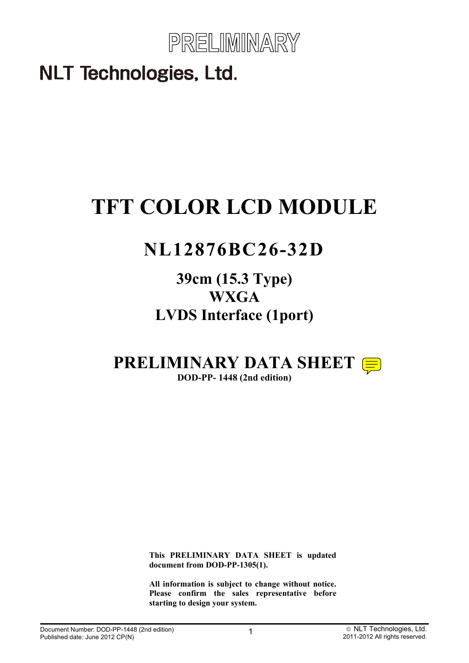

# **TFT COLOR LCD MODULE**

# **NL12876BC26-32D**

# **39cm (15.3 Type) WXGA LVDS Interface (1port)**

# **PRELIMINARY DATA SHEET**

**DOD-PP- 1448 (2nd edition)** 

**This PRELIMINARY DATA SHEET is updated document from DOD-PP-1305(1).** 

**All information is subject to change without notice. Please confirm the sales representative before starting to design your system.**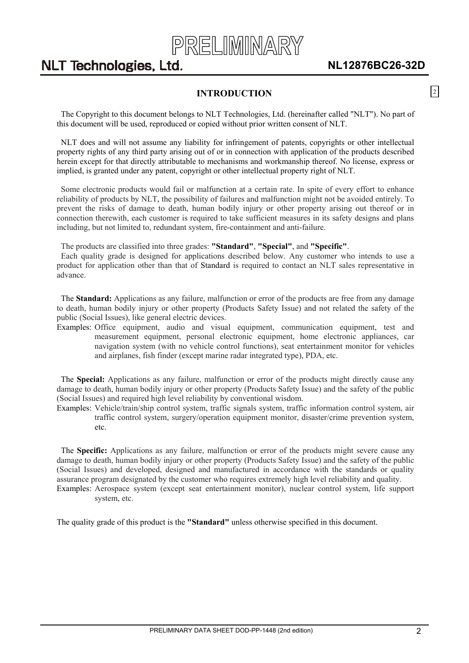

### **INTRODUCTION**

<span id="page-1-0"></span>The Copyright to this document belongs to NLT Technologies, Ltd. (hereinafter called "NLT"). No part of this document will be used, reproduced or copied without prior written consent of NLT.

NLT does and will not assume any liability for infringement of patents, copyrights or other intellectual property rights of any third party arising out of or in connection with application of the products described herein except for that directly attributable to mechanisms and workmanship thereof. No license, express or implied, is granted under any patent, copyright or other intellectual property right of NLT.

Some electronic products would fail or malfunction at a certain rate. In spite of every effort to enhance reliability of products by NLT, the possibility of failures and malfunction might not be avoided entirely. To prevent the risks of damage to death, human bodily injury or other property arising out thereof or in connection therewith, each customer is required to take sufficient measures in its safety designs and plans including, but not limited to, redundant system, fire-containment and anti-failure.

The products are classified into three grades: **"Standard"**, **"Special"**, and **"Specific"**.

Each quality grade is designed for applications described below. Any customer who intends to use a product for application other than that of Standard is required to contact an NLT sales representative in advance.

The **Standard:** Applications as any failure, malfunction or error of the products are free from any damage to death, human bodily injury or other property (Products Safety Issue) and not related the safety of the public (Social Issues), like general electric devices.

Examples: Office equipment, audio and visual equipment, communication equipment, test and measurement equipment, personal electronic equipment, home electronic appliances, car navigation system (with no vehicle control functions), seat entertainment monitor for vehicles and airplanes, fish finder (except marine radar integrated type), PDA, etc.

The **Special:** Applications as any failure, malfunction or error of the products might directly cause any damage to death, human bodily injury or other property (Products Safety Issue) and the safety of the public (Social Issues) and required high level reliability by conventional wisdom.

Examples: Vehicle/train/ship control system, traffic signals system, traffic information control system, air traffic control system, surgery/operation equipment monitor, disaster/crime prevention system, etc.

The **Specific:** Applications as any failure, malfunction or error of the products might severe cause any damage to death, human bodily injury or other property (Products Safety Issue) and the safety of the public (Social Issues) and developed, designed and manufactured in accordance with the standards or quality assurance program designated by the customer who requires extremely high level reliability and quality. Examples: Aerospace system (except seat entertainment monitor), nuclear control system, life support system, etc.

The quality grade of this product is the **"Standard"** unless otherwise specified in this document.

 $\boxed{2}$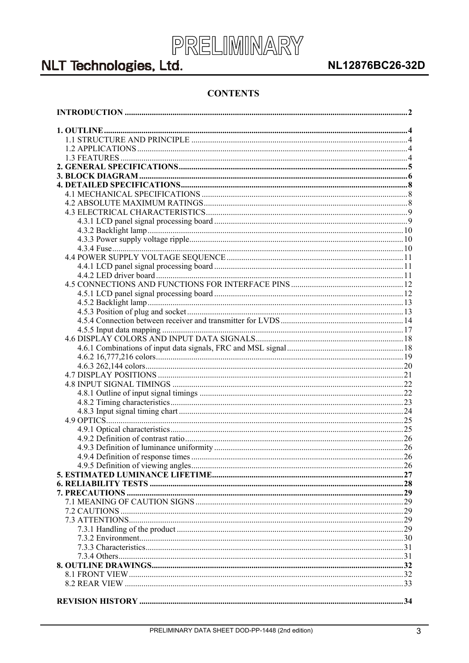

### NL12876BC26-32D

### **CONTENTS**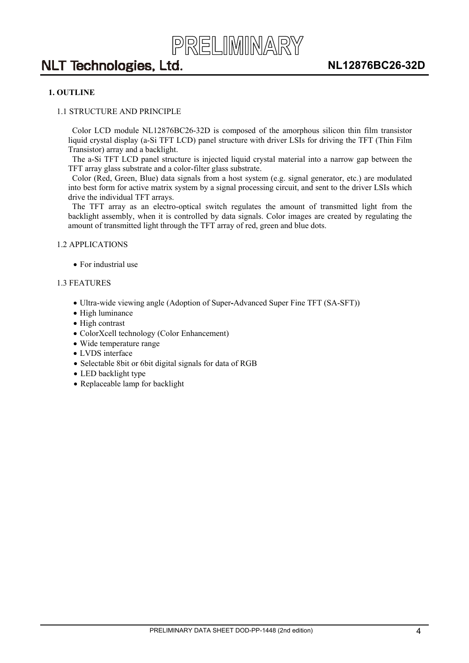

#### <span id="page-3-0"></span>**1. OUTLINE**

#### 1.1 STRUCTURE AND PRINCIPLE

Color LCD module NL12876BC26-32D is composed of the amorphous silicon thin film transistor liquid crystal display (a-Si TFT LCD) panel structure with driver LSIs for driving the TFT (Thin Film Transistor) array and a backlight.

The a-Si TFT LCD panel structure is injected liquid crystal material into a narrow gap between the TFT array glass substrate and a color-filter glass substrate.

Color (Red, Green, Blue) data signals from a host system (e.g. signal generator, etc.) are modulated into best form for active matrix system by a signal processing circuit, and sent to the driver LSIs which drive the individual TFT arrays.

The TFT array as an electro-optical switch regulates the amount of transmitted light from the backlight assembly, when it is controlled by data signals. Color images are created by regulating the amount of transmitted light through the TFT array of red, green and blue dots.

#### 1.2 APPLICATIONS

• For industrial use

#### 1.3 FEATURES

- x Ultra-wide viewing angle (Adoption of Super**-**Advanced Super Fine TFT (SA-SFT))
- $\bullet$  High luminance
- $\bullet$  High contrast
- ColorXcell technology (Color Enhancement)
- Wide temperature range
- LVDS interface
- Selectable 8bit or 6bit digital signals for data of RGB
- LED backlight type
- $\bullet$  Replaceable lamp for backlight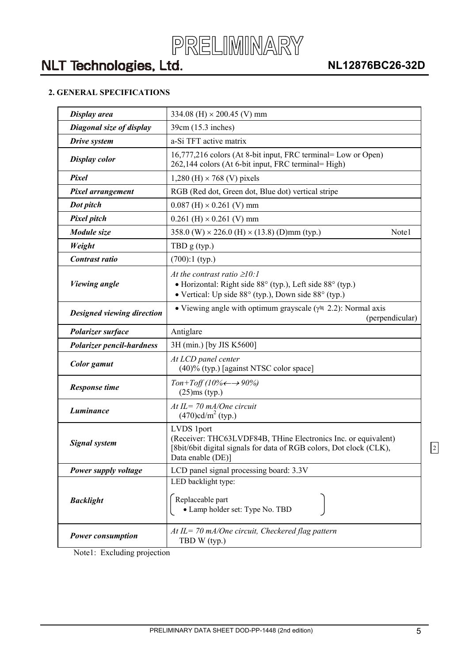### <span id="page-4-0"></span>**2. GENERAL SPECIFICATIONS**

| Display area                     | 334.08 (H) $\times$ 200.45 (V) mm                                                                                                                                        |
|----------------------------------|--------------------------------------------------------------------------------------------------------------------------------------------------------------------------|
| Diagonal size of display         | 39cm (15.3 inches)                                                                                                                                                       |
| Drive system                     | a-Si TFT active matrix                                                                                                                                                   |
| <b>Display color</b>             | 16,777,216 colors (At 8-bit input, FRC terminal= Low or Open)<br>262,144 colors (At 6-bit input, FRC terminal= High)                                                     |
| Pixel                            | 1,280 (H) $\times$ 768 (V) pixels                                                                                                                                        |
| <b>Pixel arrangement</b>         | RGB (Red dot, Green dot, Blue dot) vertical stripe                                                                                                                       |
| Dot pitch                        | $0.087$ (H) $\times$ 0.261 (V) mm                                                                                                                                        |
| <b>Pixel pitch</b>               | $0.261$ (H) $\times$ 0.261 (V) mm                                                                                                                                        |
| Module size                      | 358.0 (W) $\times$ 226.0 (H) $\times$ (13.8) (D)mm (typ.)<br>Note1                                                                                                       |
| Weight                           | TBD $g(typ.)$                                                                                                                                                            |
| Contrast ratio                   | $(700):1$ (typ.)                                                                                                                                                         |
| <b>Viewing angle</b>             | At the contrast ratio $\geq 10$ :<br>• Horizontal: Right side 88° (typ.), Left side 88° (typ.)<br>• Vertical: Up side 88° (typ.), Down side 88° (typ.)                   |
| Designed viewing direction       | • Viewing angle with optimum grayscale ( $\gamma$ = 2.2): Normal axis<br>(perpendicular)                                                                                 |
| Polarizer surface                | Antiglare                                                                                                                                                                |
| <b>Polarizer pencil-hardness</b> | 3H (min.) [by JIS K5600]                                                                                                                                                 |
| <b>Color</b> gamut               | At LCD panel center<br>(40)% (typ.) [against NTSC color space]                                                                                                           |
| <b>Response time</b>             | Ton+Toff (10% $\leftarrow \rightarrow 90\%$ )<br>$(25)$ ms (typ.)                                                                                                        |
| Luminance                        | At IL = $70$ mA/One circuit<br>$(470)$ cd/m <sup>2</sup> (typ.)                                                                                                          |
| <b>Signal system</b>             | LVDS 1port<br>(Receiver: THC63LVDF84B, THine Electronics Inc. or equivalent)<br>[8bit/6bit digital signals for data of RGB colors, Dot clock (CLK),<br>Data enable (DE)] |
| Power supply voltage             | LCD panel signal processing board: 3.3V                                                                                                                                  |
| <b>Backlight</b>                 | LED backlight type:<br>Replaceable part<br>• Lamp holder set: Type No. TBD                                                                                               |
| <b>Power consumption</b>         | At $IL = 70$ mA/One circuit, Checkered flag pattern<br>TBD W (typ.)                                                                                                      |

Note1: Excluding projection

2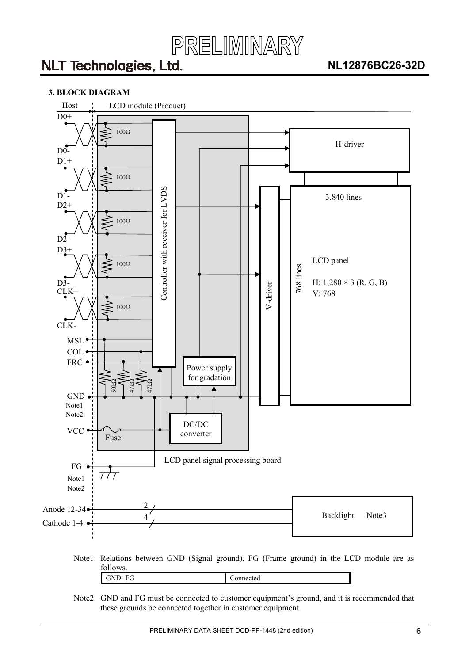

#### <span id="page-5-0"></span>**3. BLOCK DIAGRAM**



Note2: GND and FG must be connected to customer equipment's ground, and it is recommended that these grounds be connected together in customer equipment.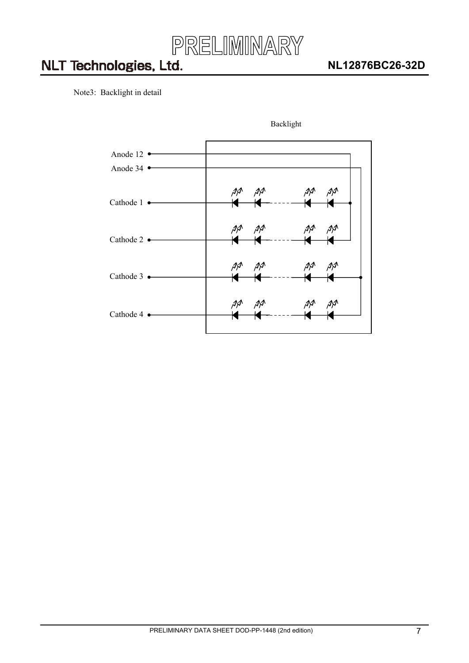

Note3: Backlight in detail



Backlight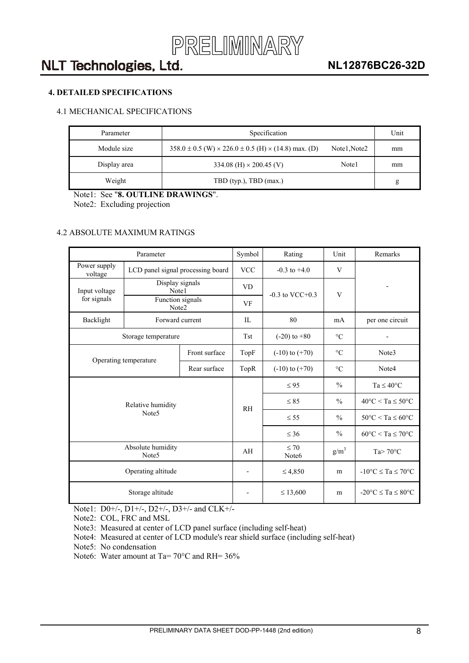

### <span id="page-7-0"></span>**4. DETAILED SPECIFICATIONS**

### 4.1 MECHANICAL SPECIFICATIONS

| Specification<br>Parameter |                                                                           |              |    |  |  |  |  |  |
|----------------------------|---------------------------------------------------------------------------|--------------|----|--|--|--|--|--|
| Module size                | $358.0 \pm 0.5$ (W) $\times$ 226.0 $\pm$ 0.5 (H) $\times$ (14.8) max. (D) | Note1, Note2 | mm |  |  |  |  |  |
| Display area               | 334.08 (H) $\times$ 200.45 (V)                                            | Note1        | mm |  |  |  |  |  |
| Weight                     | TBD (typ.), TBD (max.)                                                    |              | g  |  |  |  |  |  |

Note1: See "**8. OUTLINE DRAWINGS**".

Note2: Excluding projection

#### 4.2 ABSOLUTE MAXIMUM RATINGS

|                         | Parameter                              |               | Symbol                          | Rating                         | Unit            | Remarks                                 |  |  |
|-------------------------|----------------------------------------|---------------|---------------------------------|--------------------------------|-----------------|-----------------------------------------|--|--|
| Power supply<br>voltage | LCD panel signal processing board      |               | <b>VCC</b>                      | $-0.3$ to $+4.0$               | V               |                                         |  |  |
| Input voltage           | Display signals<br>Note1               |               | <b>VD</b>                       | $-0.3$ to VCC $+0.3$           | V               |                                         |  |  |
| for signals             | Function signals<br>Note2              |               | VF                              |                                |                 |                                         |  |  |
| Backlight               | Forward current                        |               | IL                              | 80                             | mA              | per one circuit                         |  |  |
|                         | Storage temperature                    |               | <b>Tst</b>                      | $(-20)$ to $+80$               | $\rm ^{\circ}C$ |                                         |  |  |
|                         | Operating temperature                  | Front surface | TopF                            | $(-10)$ to $(+70)$             | $\rm ^{\circ}C$ | Note3                                   |  |  |
|                         |                                        | TopR          | $\circ$ C<br>$(-10)$ to $(+70)$ |                                | Note4           |                                         |  |  |
|                         |                                        |               | R <sub>H</sub>                  | $\leq 95$                      | $\frac{0}{0}$   | $Ta \leq 40^{\circ}C$                   |  |  |
|                         | Relative humidity                      |               |                                 | $\leq 85$                      | $\frac{0}{0}$   | $40^{\circ}$ C < Ta $\leq 50^{\circ}$ C |  |  |
|                         | Note <sub>5</sub>                      |               |                                 | $\leq$ 55                      | $\frac{0}{0}$   | $50^{\circ}$ C < Ta $\leq 60^{\circ}$ C |  |  |
|                         |                                        |               |                                 | $\leq 36$                      | $\frac{0}{0}$   | $60^{\circ}$ C < Ta $\leq 70^{\circ}$ C |  |  |
|                         | Absolute humidity<br>Note <sub>5</sub> |               | AH                              | $\leq 70$<br>Note <sub>6</sub> | $g/m^3$         | Ta $> 70^{\circ}$ C                     |  |  |
|                         | Operating altitude                     |               |                                 | $\leq 4,850$                   | m               | $-10^{\circ}$ C $\leq$ Ta $\leq$ 70°C   |  |  |
|                         | Storage altitude                       |               |                                 | $\leq 13,600$                  | m               | $-20^{\circ}$ C $\leq$ Ta $\leq$ 80°C   |  |  |

Note1: D0+/-, D1+/-, D2+/-, D3+/- and CLK+/-

Note2: COL, FRC and MSL

Note3: Measured at center of LCD panel surface (including self-heat)

Note4: Measured at center of LCD module's rear shield surface (including self-heat)

Note5: No condensation

Note6: Water amount at Ta= 70°C and RH= 36%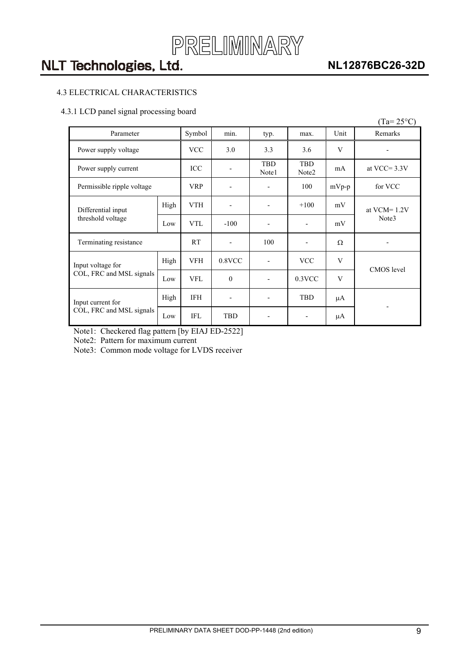

### **NL12876BC26-32D**

### <span id="page-8-0"></span>4.3 ELECTRICAL CHARACTERISTICS

#### 4.3.1 LCD panel signal processing board

|                                         |      |            |                              |                          |                          |          | $(Ta=25^{\circ}C)$ |  |
|-----------------------------------------|------|------------|------------------------------|--------------------------|--------------------------|----------|--------------------|--|
| Parameter                               |      | Symbol     | min.                         | typ.                     | max.                     | Unit     | Remarks            |  |
| Power supply voltage                    |      | <b>VCC</b> | 3.0                          | 3.3                      | 3.6                      | V        |                    |  |
| Power supply current                    |      | ICC        |                              | <b>TBD</b><br>Note1      | <b>TBD</b><br>Note2      | mA       | at VCC= $3.3V$     |  |
| Permissible ripple voltage              |      | <b>VRP</b> | -                            | $\overline{\phantom{a}}$ | 100                      | $mVp-p$  | for VCC            |  |
| Differential input<br>threshold voltage | High | VTH        |                              | -                        | $+100$                   | mV       | at $VCM = 1.2V$    |  |
|                                         | Low  | <b>VTL</b> | $-100$                       | -                        | $\overline{\phantom{a}}$ | mV       | Note3              |  |
| Terminating resistance                  |      | <b>RT</b>  |                              | 100                      | ٠                        | $\Omega$ |                    |  |
| Input voltage for                       | High | VFH        | 0.8VCC                       | $\overline{\phantom{a}}$ | <b>VCC</b>               | V        | <b>CMOS</b> level  |  |
| COL, FRC and MSL signals                | Low  | <b>VFL</b> | $\mathbf{0}$                 |                          | $0.3$ VCC                | V        |                    |  |
| Input current for                       | High | <b>IFH</b> | $\qquad \qquad \blacksquare$ | -                        | <b>TBD</b>               | μA       |                    |  |
| COL, FRC and MSL signals                | Low  | <b>IFL</b> | <b>TBD</b>                   |                          | μA                       |          |                    |  |

Note1: Checkered flag pattern [by EIAJ ED-2522]

Note2: Pattern for maximum current

Note3: Common mode voltage for LVDS receiver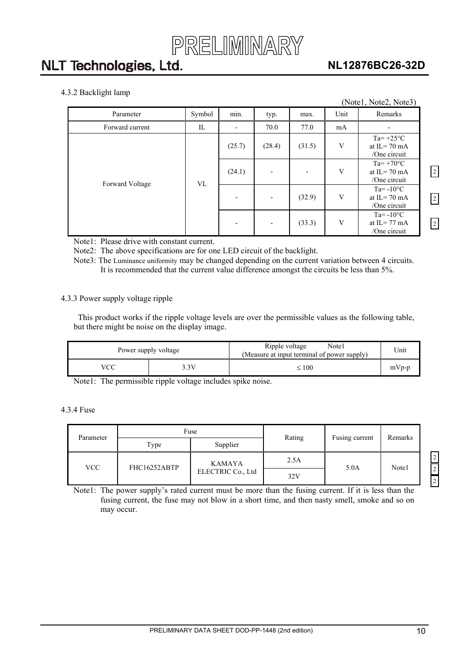

### **NL12876BC26-32D**

 $\sqrt{2}$ 

 $\boxed{2}$ 

 $|2|$ 

#### <span id="page-9-0"></span>4.3.2 Backlight lamp

| ---- <i>o</i> --- ------r<br>(Note1, Note2, Note3) |        |                          |                          |        |      |                                                                     |  |  |  |  |
|----------------------------------------------------|--------|--------------------------|--------------------------|--------|------|---------------------------------------------------------------------|--|--|--|--|
| Parameter                                          | Symbol | min.                     | typ.                     | max.   | Unit | Remarks                                                             |  |  |  |  |
| Forward current                                    | IL     | $\overline{\phantom{a}}$ | 70.0                     | 77.0   | mA   |                                                                     |  |  |  |  |
|                                                    |        | (25.7)                   | (28.4)                   | (31.5) | V    | Ta= $+25^{\circ}$ C<br>at $IL = 70$ mA<br>/One circuit              |  |  |  |  |
|                                                    | VL     | (24.1)                   | $\overline{\phantom{a}}$ |        | V    | $Ta = +70^{\circ}C$<br>at $IL = 70$ mA<br>/One circuit              |  |  |  |  |
| Forward Voltage                                    |        | $\overline{\phantom{a}}$ |                          | (32.9) | V    | Ta= $-10^{\circ}$ C<br>at IL= $70 \text{ mA}$<br>/One circuit       |  |  |  |  |
|                                                    |        | $\overline{\phantom{a}}$ | $\overline{\phantom{a}}$ | (33.3) | V    | $Ta = -10$ <sup>o</sup> C<br>at IL= $77 \text{ mA}$<br>/One circuit |  |  |  |  |

Note1: Please drive with constant current.

Note2: The above specifications are for one LED circuit of the backlight.

Note3: The Luminance uniformity may be changed depending on the current variation between 4 circuits. It is recommended that the current value difference amongst the circuits be less than 5%.

#### 4.3.3 Power supply voltage ripple

This product works if the ripple voltage levels are over the permissible values as the following table, but there might be noise on the display image.

|     | Power supply voltage | Ripple voltage<br>Note1<br>(Measure at input terminal of power supply) | Unit    |
|-----|----------------------|------------------------------------------------------------------------|---------|
| VCC | 3V                   | $\leq 100$                                                             | $mVp-p$ |

Note1: The permissible ripple voltage includes spike noise.

### 4.3.4 Fuse

| Parameter |              | Fuse              | Rating | Fusing current | Remarks |  |
|-----------|--------------|-------------------|--------|----------------|---------|--|
|           | Type         | Supplier          |        |                |         |  |
| VCC .     | FHC16252ABTP | <b>KAMAYA</b>     | 2.5A   | 5.0A           | Note1   |  |
|           |              | ELECTRIC Co., Ltd | 32V    |                |         |  |

Note1: The power supply's rated current must be more than the fusing current. If it is less than the fusing current, the fuse may not blow in a short time, and then nasty smell, smoke and so on may occur.

2 2 2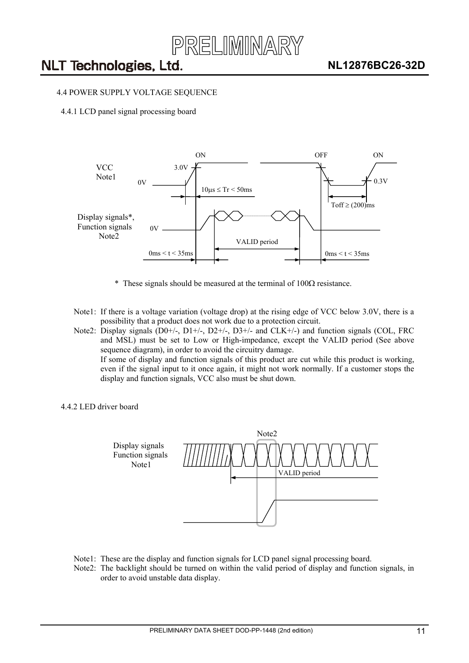

#### <span id="page-10-0"></span>4.4 POWER SUPPLY VOLTAGE SEQUENCE

4.4.1 LCD panel signal processing board



- $*$  These signals should be measured at the terminal of 100 $\Omega$  resistance.
- Note1: If there is a voltage variation (voltage drop) at the rising edge of VCC below 3.0V, there is a possibility that a product does not work due to a protection circuit.

Note2: Display signals (D0+/-, D1+/-, D2+/-, D3+/- and CLK+/-) and function signals (COL, FRC and MSL) must be set to Low or High-impedance, except the VALID period (See above sequence diagram), in order to avoid the circuitry damage. If some of display and function signals of this product are cut while this product is working, even if the signal input to it once again, it might not work normally. If a customer stops the display and function signals, VCC also must be shut down.

#### 4.4.2 LED driver board



- Note1: These are the display and function signals for LCD panel signal processing board.
- Note2: The backlight should be turned on within the valid period of display and function signals, in order to avoid unstable data display.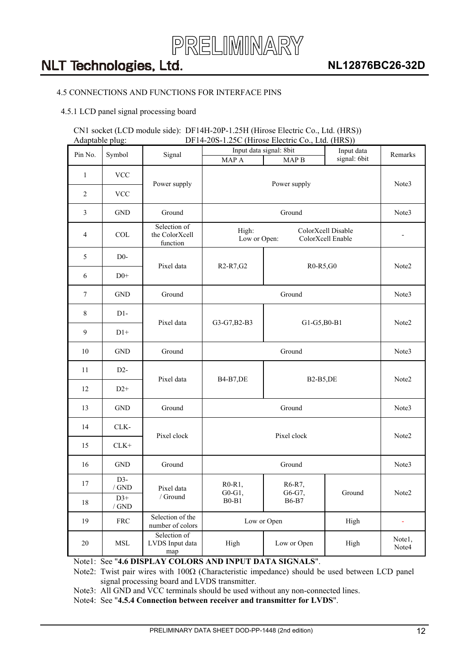

### <span id="page-11-0"></span>4.5 CONNECTIONS AND FUNCTIONS FOR INTERFACE PINS

4.5.1 LCD panel signal processing board

#### CN1 socket (LCD module side): DF14H-20P-1.25H (Hirose Electric Co., Ltd. (HRS)) Adaptable plug: DF14-20S-1.25C (Hirose Electric Co., Ltd. (HRS))

| Pin No.        | Symbol                          | Signal                                     |                                                                  | Input data signal: 8bit | Input data   | Remarks         |  |  |  |  |
|----------------|---------------------------------|--------------------------------------------|------------------------------------------------------------------|-------------------------|--------------|-----------------|--|--|--|--|
|                |                                 |                                            | MAP A                                                            | MAP <sub>B</sub>        | signal: 6bit |                 |  |  |  |  |
| $\mathbf{1}$   | <b>VCC</b>                      | Power supply                               |                                                                  | Power supply            |              | Note3           |  |  |  |  |
| $\overline{2}$ | <b>VCC</b>                      |                                            |                                                                  |                         |              |                 |  |  |  |  |
| $\mathfrak{Z}$ | $\operatorname{GND}$            | Ground<br>Ground                           |                                                                  |                         |              |                 |  |  |  |  |
| $\overline{4}$ | <b>COL</b>                      | Selection of<br>the ColorXcell<br>function | ColorXcell Disable<br>High:<br>Low or Open:<br>ColorXcell Enable |                         |              |                 |  |  |  |  |
| 5              | $D0-$                           | Pixel data                                 | R <sub>2</sub> -R <sub>7</sub> , G <sub>2</sub>                  | R0-R5,G0                |              | Note2           |  |  |  |  |
| 6              | $D0+$                           |                                            |                                                                  |                         |              |                 |  |  |  |  |
| 7              | <b>GND</b>                      | Ground                                     |                                                                  | Note3                   |              |                 |  |  |  |  |
| 8              | $D1-$                           |                                            |                                                                  |                         |              | Note2           |  |  |  |  |
| 9              | $D1+$                           | Pixel data                                 | G3-G7, B2-B3                                                     |                         | G1-G5, B0-B1 |                 |  |  |  |  |
| $10\,$         | <b>GND</b>                      | Ground                                     |                                                                  | Note3                   |              |                 |  |  |  |  |
| 11             | $D2-$                           | Pixel data                                 | <b>B4-B7,DE</b>                                                  |                         | Note2        |                 |  |  |  |  |
| 12             | $D2+$                           |                                            |                                                                  | <b>B2-B5,DE</b>         |              |                 |  |  |  |  |
| 13             | <b>GND</b>                      | Ground                                     |                                                                  | Ground                  |              | Note3           |  |  |  |  |
| 14             | CLK-                            | Pixel clock                                |                                                                  | Pixel clock             |              | Note2           |  |  |  |  |
| 15             | $CLK+$                          |                                            |                                                                  |                         |              |                 |  |  |  |  |
| 16             | <b>GND</b>                      | Ground                                     |                                                                  | Ground                  |              | Note3           |  |  |  |  |
| 17             | $D3-$<br>$/$ GND                | Pixel data                                 | $R0-R1$ ,                                                        | R6-R7,                  |              |                 |  |  |  |  |
| $18\,$         | $D3+$<br>/ $\operatorname{GND}$ | / $\operatorname{Ground}$                  | $G0-G1,$<br>$B0 - B1$                                            | G6-G7,<br><b>B6-B7</b>  | Ground       | Note2           |  |  |  |  |
| 19             | ${\rm FRC}$                     | Selection of the<br>number of colors       | Low or Open                                                      |                         | High         |                 |  |  |  |  |
| $20\,$         | $\operatorname{MSL}$            | Selection of<br>LVDS Input data<br>map     | High                                                             | Low or Open             | High         | Note1,<br>Note4 |  |  |  |  |

Note1: See "**4.6 DISPLAY COLORS AND INPUT DATA SIGNALS**".

Note2: Twist pair wires with  $100\Omega$  (Characteristic impedance) should be used between LCD panel signal processing board and LVDS transmitter.

Note3: All GND and VCC terminals should be used without any non-connected lines.

Note4: See "**4.5.4 Connection between receiver and transmitter for LVDS**".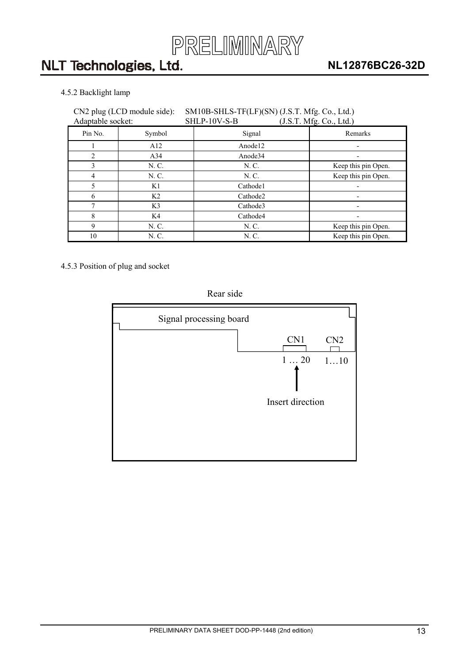

### <span id="page-12-0"></span>4.5.2 Backlight lamp

#### CN2 plug (LCD module side): SM10B-SHLS-TF(LF)(SN) (J.S.T. Mfg. Co., Ltd.) Adaptable socket: SHLP-10V-S-B (J.S.T. Mfg. Co., Ltd.)

| Transmore society. |                | $0.11111 + 0.0011$ | $(0.0.1.11)$ . $(0.0.1.1)$ |  |  |  |  |  |
|--------------------|----------------|--------------------|----------------------------|--|--|--|--|--|
| Pin No.            | Symbol         | Signal             | Remarks                    |  |  |  |  |  |
|                    | A12            | Anode12            |                            |  |  |  |  |  |
| C                  | A34            | Anode34            |                            |  |  |  |  |  |
| 3                  | N. C.          | N. C.              | Keep this pin Open.        |  |  |  |  |  |
| 4                  | N. C.          | N. C.              | Keep this pin Open.        |  |  |  |  |  |
| 5                  | K1             | Cathode1           |                            |  |  |  |  |  |
| 6                  | K <sub>2</sub> | Cathode2           |                            |  |  |  |  |  |
|                    | K3             | Cathode3           |                            |  |  |  |  |  |
| 8                  | K4             | Cathode4           |                            |  |  |  |  |  |
| 9                  | N. C.          | N. C.              | Keep this pin Open.        |  |  |  |  |  |
| 10                 | N. C.          | N. C.              | Keep this pin Open.        |  |  |  |  |  |

4.5.3 Position of plug and socket

### Rear side

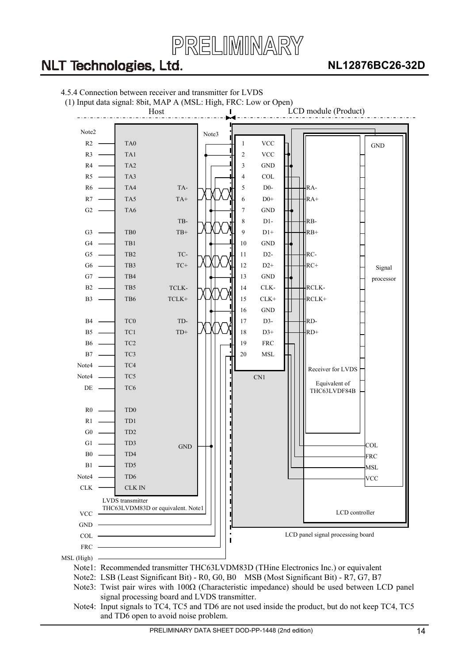

### **NL12876BC26-32D**

<span id="page-13-0"></span>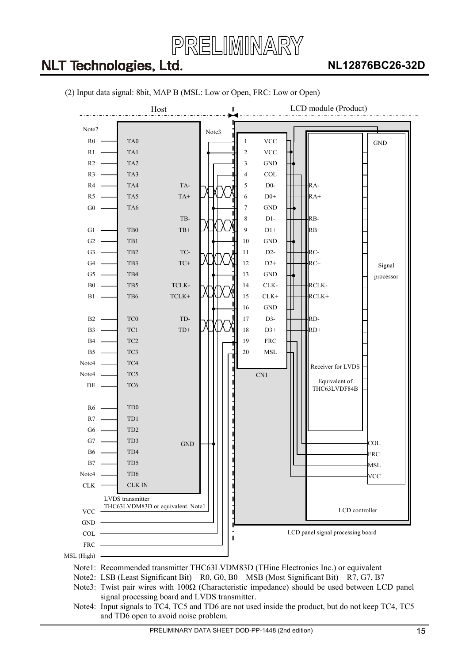

### **NL12876BC26-32D**



#### (2) Input data signal: 8bit, MAP B (MSL: Low or Open, FRC: Low or Open)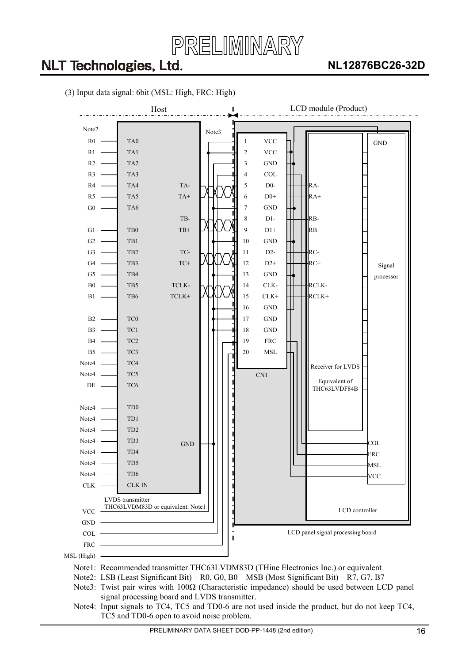



(3) Input data signal: 6bit (MSL: High, FRC: High)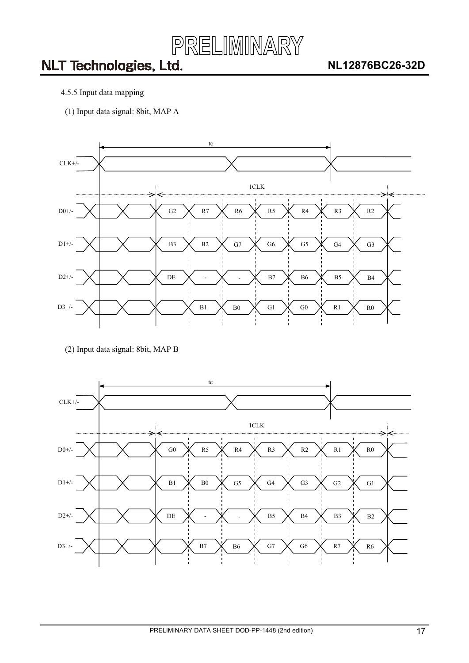

- <span id="page-16-0"></span>4.5.5 Input data mapping
- (1) Input data signal: 8bit, MAP A



(2) Input data signal: 8bit, MAP B

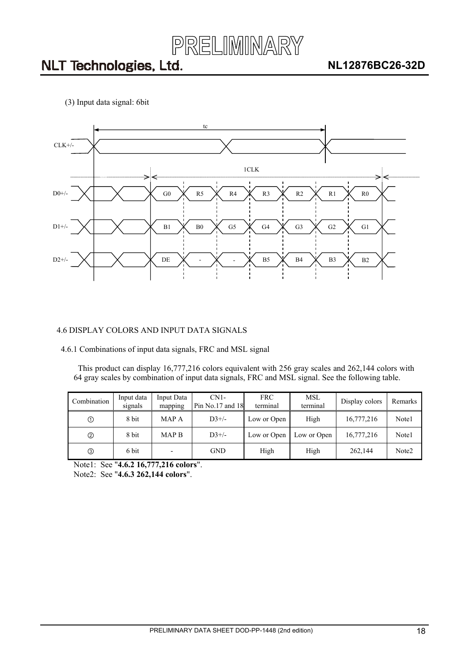

<span id="page-17-0"></span>(3) Input data signal: 6bit



#### 4.6 DISPLAY COLORS AND INPUT DATA SIGNALS

4.6.1 Combinations of input data signals, FRC and MSL signal

This product can display 16,777,216 colors equivalent with 256 gray scales and 262,144 colors with 64 gray scales by combination of input data signals, FRC and MSL signal. See the following table.

| Combination | Input data<br>signals | Input Data<br>mapping | $CN1-$<br>Pin $No.17$ and $18$ | <b>FRC</b><br>terminal | MSL<br>terminal | Display colors | Remarks           |
|-------------|-----------------------|-----------------------|--------------------------------|------------------------|-----------------|----------------|-------------------|
| ➀           | 8 bit                 | MAP A                 | $D3+/-$                        | Low or Open            | High            | 16,777,216     | Note1             |
| ➁           | 8 bit                 | <b>MAP B</b>          | $D3+/-$                        | Low or Open            | Low or Open     | 16,777,216     | Note1             |
|             | 6 bit                 |                       | <b>GND</b>                     | High                   | High            | 262,144        | Note <sub>2</sub> |

Note1: See "**4.6.2 16,777,216 colors**".

Note2: See "**4.6.3 262,144 colors**".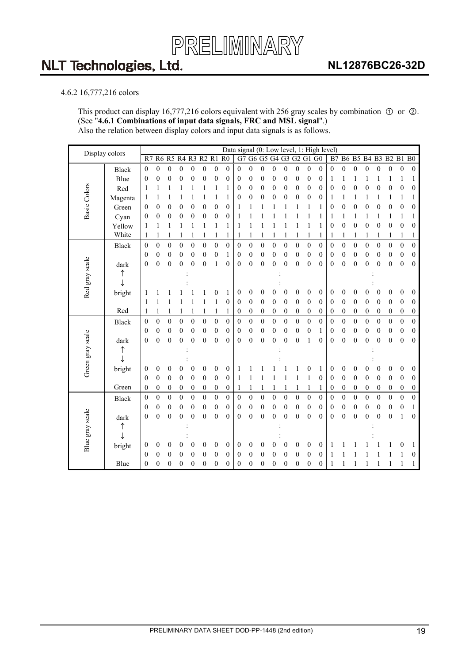

#### <span id="page-18-0"></span>4.6.2 16,777,216 colors

This product can display 16,777,216 colors equivalent with 256 gray scales by combination  $\odot$  or  $\odot$ . (See "**4.6.1 Combinations of input data signals, FRC and MSL signal**".) Also the relation between display colors and input data signals is as follows.

| Display colors   |              |                  |                  |                   |                  |                  |                  |                  |                  |                  | Data signal (0: Low level, 1: High level) |                  |                  |                      |                  |                  |                  |                  |                  |                      |                  |                  |                  |                  |                  |
|------------------|--------------|------------------|------------------|-------------------|------------------|------------------|------------------|------------------|------------------|------------------|-------------------------------------------|------------------|------------------|----------------------|------------------|------------------|------------------|------------------|------------------|----------------------|------------------|------------------|------------------|------------------|------------------|
|                  |              | R7               |                  | R6 R5 R4 R3 R2 R1 |                  |                  |                  |                  | R <sub>0</sub>   | G7               |                                           |                  |                  | G6 G5 G4 G3 G2 G1 G0 |                  |                  |                  | B7               |                  | B6 B5 B4 B3 B2 B1 B0 |                  |                  |                  |                  |                  |
|                  | <b>Black</b> | $\mathbf{0}$     | $\mathbf{0}$     | $\mathbf{0}$      | $\boldsymbol{0}$ | $\boldsymbol{0}$ | 0                | $\boldsymbol{0}$ | $\boldsymbol{0}$ | $\boldsymbol{0}$ | $\boldsymbol{0}$                          | $\boldsymbol{0}$ | 0                | $\boldsymbol{0}$     | $\boldsymbol{0}$ | $\mathbf{0}$     | $\mathbf{0}$     | $\boldsymbol{0}$ | $\boldsymbol{0}$ | $\boldsymbol{0}$     | $\boldsymbol{0}$ | $\theta$         | $\mathbf{0}$     | $\boldsymbol{0}$ | $\boldsymbol{0}$ |
|                  | Blue         | $\boldsymbol{0}$ | $\boldsymbol{0}$ | $\boldsymbol{0}$  | $\boldsymbol{0}$ | $\boldsymbol{0}$ | $\boldsymbol{0}$ | $\boldsymbol{0}$ | 0                | 0                | $\boldsymbol{0}$                          | $\mathbf{0}$     | $\boldsymbol{0}$ | 0                    | 0                | $\mathbf{0}$     | $\boldsymbol{0}$ | 1                | 1                |                      |                  |                  | 1                | 1                | 1                |
|                  | Red          | $\mathbf{1}$     | 1                | 1                 |                  | 1                |                  | 1                |                  | $\boldsymbol{0}$ | $\boldsymbol{0}$                          | $\boldsymbol{0}$ | $\boldsymbol{0}$ | $\boldsymbol{0}$     | 0                | $\boldsymbol{0}$ | $\mathbf{0}$     | 0                | 0                | 0                    | $\overline{0}$   | $\mathbf{0}$     | $\theta$         | 0                | $\boldsymbol{0}$ |
| Basic Colors     | Magenta      | 1                | 1                | 1                 |                  |                  |                  | 1                |                  | $\boldsymbol{0}$ | $\boldsymbol{0}$                          | $\boldsymbol{0}$ | $\mathbf{0}$     | 0                    | $\boldsymbol{0}$ | $\mathbf{0}$     | $\mathbf{0}$     | 1                | 1                | 1                    | 1                | 1                | 1                | 1                | 1                |
|                  | Green        | $\boldsymbol{0}$ | $\mathbf{0}$     | $\boldsymbol{0}$  | $\boldsymbol{0}$ | 0                | $\boldsymbol{0}$ | $\boldsymbol{0}$ | 0                | 1                |                                           | 1                |                  | 1                    | 1                | 1                | 1                | 0                | 0                | 0                    | 0                | 0                | $\boldsymbol{0}$ | $\boldsymbol{0}$ | 0                |
|                  | Cyan         | $\theta$         | $\boldsymbol{0}$ | $\boldsymbol{0}$  | $\boldsymbol{0}$ | $\boldsymbol{0}$ | $\boldsymbol{0}$ | $\boldsymbol{0}$ | 0                | 1                |                                           |                  |                  | 1                    | 1                | 1                | 1                | 1                | 1                | 1                    | 1                | 1                | 1                | 1                | 1                |
|                  | Yellow       | 1                | 1                | 1                 | 1                | 1                | 1                | 1                | 1                | 1                | 1                                         | 1                | 1                | 1                    | 1                | 1                | 1                | $\theta$         | $\boldsymbol{0}$ | $\boldsymbol{0}$     | 0                | $\mathbf{0}$     | $\theta$         | 0                | $\mathbf{0}$     |
|                  | White        | 1                | 1                | 1                 |                  | 1                |                  | 1                | 1                | 1                | 1                                         | 1                |                  | 1                    | 1                | 1                | 1                |                  | 1                | 1                    | 1                | 1                | 1                | 1                | 1                |
|                  | <b>Black</b> | $\boldsymbol{0}$ | $\boldsymbol{0}$ | $\overline{0}$    | $\boldsymbol{0}$ | $\mathbf{0}$     | $\mathbf{0}$     | $\mathbf{0}$     | $\boldsymbol{0}$ | $\boldsymbol{0}$ | $\boldsymbol{0}$                          | $\boldsymbol{0}$ | $\boldsymbol{0}$ | $\boldsymbol{0}$     | $\boldsymbol{0}$ | $\mathbf{0}$     | $\overline{0}$   | $\mathbf{0}$     | $\boldsymbol{0}$ | $\boldsymbol{0}$     | $\mathbf{0}$     | $\mathbf{0}$     | $\boldsymbol{0}$ | $\boldsymbol{0}$ | $\boldsymbol{0}$ |
|                  |              | $\theta$         | $\mathbf{0}$     | $\theta$          | $\boldsymbol{0}$ | 0                | $\boldsymbol{0}$ | $\boldsymbol{0}$ |                  | $\boldsymbol{0}$ | $\boldsymbol{0}$                          | $\mathbf{0}$     | 0                | 0                    | 0                | $\boldsymbol{0}$ | $\theta$         | 0                | 0                | 0                    | $\boldsymbol{0}$ | $\boldsymbol{0}$ | $\boldsymbol{0}$ | $\boldsymbol{0}$ | $\boldsymbol{0}$ |
|                  | dark         | $\theta$         | $\overline{0}$   | $\boldsymbol{0}$  | $\mathbf{0}$     | 0                | $\boldsymbol{0}$ | 1                | 0                | $\mathbf{0}$     | $\boldsymbol{0}$                          | $\boldsymbol{0}$ | $\boldsymbol{0}$ | $\overline{0}$       | 0                | $\mathbf{0}$     | $\theta$         | 0                | 0                | $\boldsymbol{0}$     | 0                | $\overline{0}$   | $\boldsymbol{0}$ | $\mathbf{0}$     | $\boldsymbol{0}$ |
|                  | ↑            |                  |                  |                   |                  |                  |                  |                  |                  |                  |                                           |                  |                  |                      |                  |                  |                  |                  |                  |                      |                  |                  |                  |                  |                  |
|                  |              |                  |                  |                   |                  |                  |                  |                  |                  |                  |                                           |                  |                  |                      |                  |                  |                  |                  |                  |                      |                  |                  |                  |                  |                  |
| Red gray scale   | bright       | 1                |                  |                   |                  |                  |                  | 0                | 1                | 0                | $\boldsymbol{0}$                          | $\boldsymbol{0}$ | 0                | 0                    | 0                | 0                | $\boldsymbol{0}$ | 0                | 0                | 0                    | 0                | $\boldsymbol{0}$ | $\boldsymbol{0}$ | $\boldsymbol{0}$ | $\boldsymbol{0}$ |
|                  |              | $\mathbf{1}$     | 1                | 1                 |                  | 1                | 1                | $\mathbf{1}$     | $\boldsymbol{0}$ | $\boldsymbol{0}$ | $\boldsymbol{0}$                          | $\boldsymbol{0}$ | $\boldsymbol{0}$ | $\boldsymbol{0}$     | $\boldsymbol{0}$ | $\mathbf{0}$     | $\mathbf{0}$     | $\boldsymbol{0}$ | $\overline{0}$   | 0                    | $\overline{0}$   | $\mathbf{0}$     | $\mathbf{0}$     | $\boldsymbol{0}$ | $\theta$         |
|                  | Red          | 1                | 1                | 1                 | 1                | 1                | 1                | 1                | 1                | $\boldsymbol{0}$ | $\boldsymbol{0}$                          | $\boldsymbol{0}$ | 0                | $\boldsymbol{0}$     | 0                | $\boldsymbol{0}$ | $\boldsymbol{0}$ | 0                | $\boldsymbol{0}$ | 0                    | $\boldsymbol{0}$ | $\boldsymbol{0}$ | $\boldsymbol{0}$ | $\boldsymbol{0}$ | $\boldsymbol{0}$ |
|                  | <b>Black</b> | $\boldsymbol{0}$ | $\boldsymbol{0}$ | $\boldsymbol{0}$  | $\overline{0}$   | $\boldsymbol{0}$ | $\boldsymbol{0}$ | $\boldsymbol{0}$ | $\boldsymbol{0}$ | $\boldsymbol{0}$ | $\boldsymbol{0}$                          | $\overline{0}$   | $\boldsymbol{0}$ | $\boldsymbol{0}$     | $\overline{0}$   | $\mathbf{0}$     | $\boldsymbol{0}$ | $\mathbf{0}$     | $\boldsymbol{0}$ | $\overline{0}$       | $\boldsymbol{0}$ | $\boldsymbol{0}$ | $\boldsymbol{0}$ | $\boldsymbol{0}$ | $\boldsymbol{0}$ |
|                  |              | $\boldsymbol{0}$ | $\boldsymbol{0}$ | $\mathbf{0}$      | $\boldsymbol{0}$ | $\boldsymbol{0}$ | $\boldsymbol{0}$ | $\boldsymbol{0}$ | 0                | $\boldsymbol{0}$ | $\boldsymbol{0}$                          | $\boldsymbol{0}$ | $\boldsymbol{0}$ | $\boldsymbol{0}$     | $\boldsymbol{0}$ | $\boldsymbol{0}$ | 1                | 0                | $\boldsymbol{0}$ | $\boldsymbol{0}$     | $\boldsymbol{0}$ | 0                | $\boldsymbol{0}$ | $\boldsymbol{0}$ | $\boldsymbol{0}$ |
|                  | dark         | $\theta$         | $\theta$         | $\overline{0}$    | $\overline{0}$   | $\theta$         | $\theta$         | $\overline{0}$   | $\theta$         | $\mathbf{0}$     | $\overline{0}$                            | $\mathbf{0}$     | $\overline{0}$   | $\theta$             | $\overline{0}$   | 1                | $\theta$         | $\theta$         | $\theta$         | $\mathbf{0}$         | 0                | $\theta$         | $\mathbf{0}$     | $\mathbf{0}$     | $\Omega$         |
|                  | ↑            |                  |                  |                   |                  |                  |                  |                  |                  |                  |                                           |                  |                  |                      |                  |                  |                  |                  |                  |                      |                  |                  |                  |                  |                  |
| Green gray scale |              |                  |                  |                   |                  |                  |                  |                  |                  |                  |                                           |                  |                  |                      |                  |                  |                  |                  |                  |                      |                  |                  |                  |                  |                  |
|                  | bright       | $\theta$         | $\boldsymbol{0}$ | $\boldsymbol{0}$  | 0                | 0                | $\boldsymbol{0}$ | 0                | 0                | 1                |                                           |                  |                  |                      |                  | 0                | 1                | 0                | 0                | 0                    | 0                | 0                | $\boldsymbol{0}$ | $\boldsymbol{0}$ | 0                |
|                  |              | $\boldsymbol{0}$ | $\boldsymbol{0}$ | $\mathbf{0}$      | $\boldsymbol{0}$ | $\boldsymbol{0}$ | $\boldsymbol{0}$ | $\boldsymbol{0}$ | 0                | 1                | 1                                         | 1                | 1                | 1                    | 1                | $\mathbf{1}$     | $\boldsymbol{0}$ | 0                | $\boldsymbol{0}$ | 0                    | 0                | $\boldsymbol{0}$ | $\boldsymbol{0}$ | $\boldsymbol{0}$ | $\boldsymbol{0}$ |
|                  | Green        | $\boldsymbol{0}$ | $\boldsymbol{0}$ | $\boldsymbol{0}$  | $\boldsymbol{0}$ | $\boldsymbol{0}$ | $\boldsymbol{0}$ | $\boldsymbol{0}$ | 0                | 1                | 1                                         | 1                |                  | 1                    | 1                | $\mathbf{1}$     | 1                | 0                | $\boldsymbol{0}$ | $\boldsymbol{0}$     | $\boldsymbol{0}$ | 0                | $\boldsymbol{0}$ | $\boldsymbol{0}$ | $\boldsymbol{0}$ |
|                  | <b>Black</b> | $\overline{0}$   | $\mathbf{0}$     | $\mathbf{0}$      | $\boldsymbol{0}$ | $\boldsymbol{0}$ | $\boldsymbol{0}$ | $\mathbf{0}$     | $\mathbf{0}$     | $\boldsymbol{0}$ | $\boldsymbol{0}$                          | $\boldsymbol{0}$ | $\mathbf{0}$     | $\boldsymbol{0}$     | $\boldsymbol{0}$ | $\mathbf{0}$     | $\overline{0}$   | $\boldsymbol{0}$ | $\mathbf{0}$     | $\boldsymbol{0}$     | $\mathbf{0}$     | $\mathbf{0}$     | $\mathbf{0}$     | $\mathbf{0}$     | $\boldsymbol{0}$ |
|                  |              | $\theta$         | $\boldsymbol{0}$ | $\boldsymbol{0}$  | 0                | $\boldsymbol{0}$ | 0                | $\boldsymbol{0}$ | 0                | $\boldsymbol{0}$ | $\boldsymbol{0}$                          | $\boldsymbol{0}$ | 0                | $\boldsymbol{0}$     | $\boldsymbol{0}$ | $\boldsymbol{0}$ | $\mathbf{0}$     | 0                | $\boldsymbol{0}$ | 0                    | 0                | 0                | $\boldsymbol{0}$ | $\boldsymbol{0}$ | $\mathbf{1}$     |
|                  | dark         | $\overline{0}$   | $\overline{0}$   | $\mathbf{0}$      | $\overline{0}$   | $\mathbf{0}$     | $\mathbf{0}$     | $\overline{0}$   | $\boldsymbol{0}$ | $\mathbf{0}$     | $\boldsymbol{0}$                          | $\boldsymbol{0}$ | $\overline{0}$   | $\overline{0}$       | $\overline{0}$   | $\mathbf{0}$     | $\theta$         | $\boldsymbol{0}$ | $\boldsymbol{0}$ | $\overline{0}$       | 0                | $\overline{0}$   | $\overline{0}$   | 1                | $\mathbf{0}$     |
|                  | ↑            |                  |                  |                   |                  |                  |                  |                  |                  |                  |                                           |                  |                  |                      |                  |                  |                  |                  |                  |                      |                  |                  |                  |                  |                  |
| Blue gray scale  |              |                  |                  |                   |                  |                  |                  |                  |                  |                  |                                           |                  |                  |                      |                  |                  |                  |                  |                  |                      |                  |                  |                  |                  |                  |
|                  | bright       | $\boldsymbol{0}$ | $\boldsymbol{0}$ | $\boldsymbol{0}$  | 0                | 0                | $\boldsymbol{0}$ | $\boldsymbol{0}$ | 0                | $\boldsymbol{0}$ | $\boldsymbol{0}$                          | $\boldsymbol{0}$ | 0                | $\boldsymbol{0}$     | 0                | $\boldsymbol{0}$ | $\boldsymbol{0}$ | 1                |                  |                      |                  |                  | 1                | 0                | 1                |
|                  |              | $\theta$         | $\mathbf{0}$     | $\boldsymbol{0}$  | 0                | $\theta$         | 0                | $\theta$         | 0                | 0                | 0                                         | $\boldsymbol{0}$ | 0                | $\overline{0}$       | $\boldsymbol{0}$ | $\mathbf{0}$     | $\boldsymbol{0}$ |                  |                  |                      |                  |                  | 1                | 1                | 0                |
|                  | Blue         | $\boldsymbol{0}$ | $\boldsymbol{0}$ | $\boldsymbol{0}$  | $\boldsymbol{0}$ | 0                | $\boldsymbol{0}$ | 0                | 0                | $\boldsymbol{0}$ | $\boldsymbol{0}$                          | $\boldsymbol{0}$ | 0                | $\boldsymbol{0}$     | 0                | $\boldsymbol{0}$ | $\boldsymbol{0}$ |                  |                  |                      |                  |                  |                  | 1                | 1                |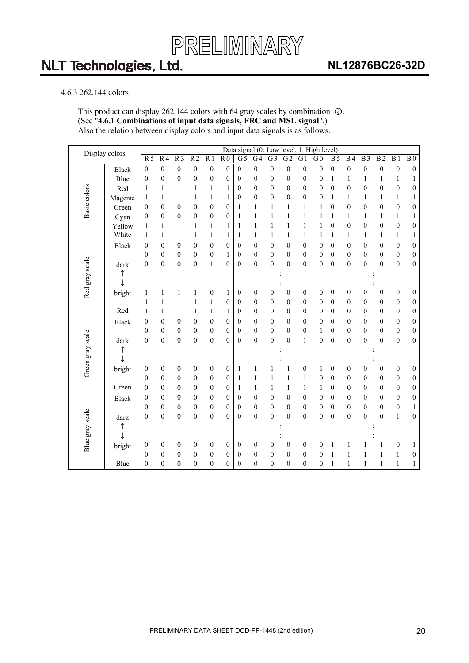

### **NL12876BC26-32D**

#### <span id="page-19-0"></span>4.6.3 262,144 colors

This product can display 262,144 colors with 64 gray scales by combination  $\circled$ . (See "**4.6.1 Combinations of input data signals, FRC and MSL signal**".) Also the relation between display colors and input data signals is as follows.

| Display colors   |              |                  |                  |                  |                  |                  |                  | Data signal (0: Low level, |                  |                  |                  |                  | 1: High level)   |                  |                  |                  |                  |                  |                  |
|------------------|--------------|------------------|------------------|------------------|------------------|------------------|------------------|----------------------------|------------------|------------------|------------------|------------------|------------------|------------------|------------------|------------------|------------------|------------------|------------------|
|                  |              | R <sub>5</sub>   | R <sub>4</sub>   | R <sub>3</sub>   | R <sub>2</sub>   | R <sub>1</sub>   | R <sub>0</sub>   | $G\overline{5}$            | G <sub>4</sub>   | $\overline{G}$ 3 | $\overline{G2}$  | G <sub>1</sub>   | G <sub>0</sub>   | <b>B5</b>        | B <sub>4</sub>   | B <sub>3</sub>   | B <sub>2</sub>   | $\overline{B1}$  | $\overline{B0}$  |
|                  | <b>Black</b> | $\boldsymbol{0}$ | $\boldsymbol{0}$ | $\boldsymbol{0}$ | $\boldsymbol{0}$ | $\boldsymbol{0}$ | $\boldsymbol{0}$ | $\boldsymbol{0}$           | $\boldsymbol{0}$ | $\boldsymbol{0}$ | $\boldsymbol{0}$ | $\boldsymbol{0}$ | $\boldsymbol{0}$ | $\boldsymbol{0}$ | $\boldsymbol{0}$ | $\boldsymbol{0}$ | $\boldsymbol{0}$ | $\boldsymbol{0}$ | $\boldsymbol{0}$ |
|                  | Blue         | $\boldsymbol{0}$ | $\boldsymbol{0}$ | $\overline{0}$   | $\boldsymbol{0}$ | $\boldsymbol{0}$ | 0                | $\theta$                   | $\boldsymbol{0}$ | $\boldsymbol{0}$ | $\boldsymbol{0}$ | $\boldsymbol{0}$ | 0                | 1                | 1                | $\mathbf{1}$     | 1                | $\mathbf{1}$     | 1                |
|                  | Red          | 1                | 1                | 1                | 1                | $\mathbf{1}$     | 1                | $\mathbf{0}$               | $\boldsymbol{0}$ | $\boldsymbol{0}$ | $\boldsymbol{0}$ | $\boldsymbol{0}$ | $\boldsymbol{0}$ | $\boldsymbol{0}$ | $\boldsymbol{0}$ | $\boldsymbol{0}$ | $\boldsymbol{0}$ | $\boldsymbol{0}$ | $\boldsymbol{0}$ |
| Basic colors     | Magenta      | 1                | $\mathbf{1}$     | 1                | 1                | $\mathbf{1}$     | 1                | $\mathbf{0}$               | $\mathbf{0}$     | $\overline{0}$   | $\boldsymbol{0}$ | $\boldsymbol{0}$ | $\boldsymbol{0}$ | 1                | 1                | 1                | 1                | $\mathbf{1}$     | $\mathbf{1}$     |
|                  | Green        | $\boldsymbol{0}$ | $\mathbf{0}$     | $\mathbf{0}$     | $\overline{0}$   | $\boldsymbol{0}$ | $\boldsymbol{0}$ | 1                          | $\mathbf{1}$     | 1                | $\mathbf{1}$     | $\mathbf{1}$     | 1                | $\mathbf{0}$     | $\mathbf{0}$     | $\mathbf{0}$     | $\overline{0}$   | $\boldsymbol{0}$ | $\boldsymbol{0}$ |
|                  | Cyan         | $\boldsymbol{0}$ | $\boldsymbol{0}$ | $\mathbf{0}$     | $\mathbf{0}$     | $\boldsymbol{0}$ | $\boldsymbol{0}$ | $\mathbf{1}$               | $\mathbf{1}$     | $\mathbf{1}$     | $\mathbf{1}$     | $\mathbf{1}$     | 1                | 1                | $\mathbf{1}$     | 1                | $\mathbf{1}$     | $\mathbf{1}$     | $\mathbf{1}$     |
|                  | Yellow       | 1                | $\mathbf{1}$     | 1                | 1                | $\mathbf{1}$     | 1                | 1                          | $\mathbf{1}$     | 1                | 1                | $\mathbf{1}$     | 1                | $\mathbf{0}$     | $\overline{0}$   | $\mathbf{0}$     | $\overline{0}$   | $\boldsymbol{0}$ | $\boldsymbol{0}$ |
|                  | White        | $\mathbf{1}$     | $\mathbf{1}$     | $\mathbf{1}$     | 1                | $\mathbf{1}$     | 1                | $\mathbf{1}$               | $\mathbf{1}$     | $\mathbf{1}$     | $\mathbf{1}$     | $\,1$            | 1                | 1                | $\mathbf{1}$     | 1                | $\mathbf{1}$     | $\mathbf{1}$     | $\mathbf{1}$     |
|                  | <b>Black</b> | $\boldsymbol{0}$ | $\mathbf{0}$     | $\theta$         | $\mathbf{0}$     | $\mathbf{0}$     | $\mathbf{0}$     | $\mathbf{0}$               | $\boldsymbol{0}$ | $\theta$         | $\mathbf{0}$     | $\boldsymbol{0}$ | $\mathbf{0}$     | $\theta$         | $\overline{0}$   | $\theta$         | $\mathbf{0}$     | $\boldsymbol{0}$ | $\overline{0}$   |
|                  |              | $\mathbf{0}$     | $\mathbf{0}$     | $\mathbf{0}$     | $\mathbf{0}$     | $\boldsymbol{0}$ | 1                | $\mathbf{0}$               | $\mathbf{0}$     | $\overline{0}$   | $\boldsymbol{0}$ | $\boldsymbol{0}$ | $\mathbf{0}$     | $\mathbf{0}$     | $\mathbf{0}$     | $\mathbf{0}$     | $\mathbf{0}$     | $\boldsymbol{0}$ | $\boldsymbol{0}$ |
|                  | dark         | $\overline{0}$   | $\boldsymbol{0}$ | $\overline{0}$   | $\boldsymbol{0}$ | $\,1$            | $\mathbf{0}$     | $\mathbf{0}$               | $\boldsymbol{0}$ | $\overline{0}$   | $\boldsymbol{0}$ | $\boldsymbol{0}$ | $\mathbf{0}$     | $\mathbf{0}$     | $\mathbf{0}$     | $\overline{0}$   | $\boldsymbol{0}$ | $\boldsymbol{0}$ | $\boldsymbol{0}$ |
| Red gray scale   | ↑            |                  |                  |                  |                  |                  |                  |                            |                  |                  |                  |                  |                  |                  |                  |                  |                  |                  |                  |
|                  | ↓            |                  |                  |                  |                  |                  |                  |                            |                  |                  |                  |                  |                  |                  |                  |                  |                  |                  |                  |
|                  | bright       | 1                | 1                | 1                |                  | $\boldsymbol{0}$ | 1                | $\boldsymbol{0}$           | $\boldsymbol{0}$ | 0                | 0                | $\boldsymbol{0}$ | 0                | $\boldsymbol{0}$ | $\boldsymbol{0}$ | 0                | $\boldsymbol{0}$ | $\boldsymbol{0}$ | $\boldsymbol{0}$ |
|                  |              | $\mathbf{1}$     | $\mathbf{1}$     | 1                | 1                | $\mathbf{1}$     | $\boldsymbol{0}$ | $\boldsymbol{0}$           | $\boldsymbol{0}$ | $\mathbf{0}$     | $\boldsymbol{0}$ | $\boldsymbol{0}$ | $\mathbf{0}$     | $\mathbf{0}$     | $\mathbf{0}$     | $\mathbf{0}$     | $\boldsymbol{0}$ | $\boldsymbol{0}$ | $\boldsymbol{0}$ |
|                  | Red          | 1                | 1                | 1                | 1                | $\mathbf{1}$     | 1                | $\boldsymbol{0}$           | 0                | 0                | 0                | $\boldsymbol{0}$ | $\boldsymbol{0}$ | $\boldsymbol{0}$ | $\theta$         | $\boldsymbol{0}$ | $\boldsymbol{0}$ | $\boldsymbol{0}$ | $\boldsymbol{0}$ |
|                  | <b>Black</b> | $\overline{0}$   | $\boldsymbol{0}$ | $\theta$         | $\mathbf{0}$     | $\mathbf{0}$     | $\mathbf{0}$     | $\mathbf{0}$               | $\mathbf{0}$     | $\theta$         | $\mathbf{0}$     | $\overline{0}$   | $\mathbf{0}$     | $\boldsymbol{0}$ | $\theta$         | $\mathbf{0}$     | $\boldsymbol{0}$ | $\boldsymbol{0}$ | $\boldsymbol{0}$ |
|                  |              | $\boldsymbol{0}$ | $\boldsymbol{0}$ | $\boldsymbol{0}$ | $\boldsymbol{0}$ | $\boldsymbol{0}$ | $\boldsymbol{0}$ | $\boldsymbol{0}$           | $\boldsymbol{0}$ | $\boldsymbol{0}$ | $\boldsymbol{0}$ | $\boldsymbol{0}$ | 1                | $\boldsymbol{0}$ | $\boldsymbol{0}$ | $\boldsymbol{0}$ | $\boldsymbol{0}$ | $\boldsymbol{0}$ | $\boldsymbol{0}$ |
|                  | dark         | $\mathbf{0}$     | $\mathbf{0}$     | $\theta$         | $\overline{0}$   | $\mathbf{0}$     | $\theta$         | $\theta$                   | $\mathbf{0}$     | $\theta$         | $\overline{0}$   | $\mathbf{1}$     | $\theta$         | $\mathbf{0}$     | $\theta$         | $\theta$         | $\overline{0}$   | $\boldsymbol{0}$ | $\overline{0}$   |
|                  | ↑            |                  |                  |                  |                  |                  |                  |                            |                  |                  |                  |                  |                  |                  |                  |                  |                  |                  |                  |
| Green gray scale |              |                  |                  |                  |                  |                  |                  |                            |                  |                  |                  |                  |                  |                  |                  |                  |                  |                  |                  |
|                  | bright       | $\boldsymbol{0}$ | $\boldsymbol{0}$ | $\boldsymbol{0}$ | $\boldsymbol{0}$ | $\boldsymbol{0}$ | $\boldsymbol{0}$ | 1                          | $\mathbf{1}$     | 1                | 1                | $\boldsymbol{0}$ | 1                | $\boldsymbol{0}$ | $\boldsymbol{0}$ | 0                | 0                | $\boldsymbol{0}$ | $\boldsymbol{0}$ |
|                  |              | $\mathbf{0}$     | $\mathbf{0}$     | $\mathbf{0}$     | $\mathbf{0}$     | $\boldsymbol{0}$ | $\boldsymbol{0}$ | $\mathbf{1}$               | $\mathbf{1}$     | 1                | $\mathbf{1}$     | $\mathbf{1}$     | $\boldsymbol{0}$ | $\mathbf{0}$     | $\mathbf{0}$     | $\mathbf{0}$     | $\boldsymbol{0}$ | $\boldsymbol{0}$ | $\boldsymbol{0}$ |
|                  | Green        | $\mathbf{0}$     | $\mathbf{0}$     | $\mathbf{0}$     | $\mathbf{0}$     | $\mathbf{0}$     | 0                | 1                          | $\mathbf{1}$     | $\mathbf{1}$     | $\mathbf{1}$     | $\mathbf{1}$     | 1                | $\mathbf{0}$     | $\mathbf{0}$     | $\overline{0}$   | $\mathbf{0}$     | $\boldsymbol{0}$ | $\boldsymbol{0}$ |
|                  | <b>Black</b> | $\boldsymbol{0}$ | $\boldsymbol{0}$ | $\boldsymbol{0}$ | $\boldsymbol{0}$ | $\boldsymbol{0}$ | $\boldsymbol{0}$ | $\boldsymbol{0}$           | $\boldsymbol{0}$ | $\boldsymbol{0}$ | $\overline{0}$   | $\boldsymbol{0}$ | $\mathbf{0}$     | $\boldsymbol{0}$ | $\overline{0}$   | $\boldsymbol{0}$ | $\boldsymbol{0}$ | $\boldsymbol{0}$ | $\boldsymbol{0}$ |
|                  |              | $\mathbf{0}$     | $\boldsymbol{0}$ | $\mathbf{0}$     | $\mathbf{0}$     | $\boldsymbol{0}$ | $\mathbf{0}$     | $\theta$                   | $\mathbf{0}$     | $\mathbf{0}$     | $\mathbf{0}$     | $\boldsymbol{0}$ | 0                | $\theta$         | $\mathbf{0}$     | $\mathbf{0}$     | $\boldsymbol{0}$ | $\boldsymbol{0}$ | $\mathbf{1}$     |
|                  | dark         | $\boldsymbol{0}$ | $\boldsymbol{0}$ | $\overline{0}$   | $\overline{0}$   | $\boldsymbol{0}$ | $\boldsymbol{0}$ | $\mathbf{0}$               | $\mathbf{0}$     | $\overline{0}$   | $\boldsymbol{0}$ | $\boldsymbol{0}$ | $\overline{0}$   | $\mathbf{0}$     | $\overline{0}$   | $\overline{0}$   | $\boldsymbol{0}$ | $\mathbf{1}$     | $\boldsymbol{0}$ |
| Blue gray scale  | ↑            |                  |                  |                  |                  |                  |                  |                            |                  |                  |                  |                  |                  |                  |                  |                  |                  |                  |                  |
|                  |              |                  |                  |                  |                  |                  |                  |                            |                  |                  |                  |                  |                  |                  |                  |                  |                  |                  |                  |
|                  | bright       | $\boldsymbol{0}$ | $\boldsymbol{0}$ | $\boldsymbol{0}$ | $\boldsymbol{0}$ | $\boldsymbol{0}$ | $\boldsymbol{0}$ | $\boldsymbol{0}$           | $\boldsymbol{0}$ | 0                | $\boldsymbol{0}$ | $\boldsymbol{0}$ | $\boldsymbol{0}$ | 1                | 1                |                  | 1                | $\boldsymbol{0}$ | $\mathbf{1}$     |
|                  |              | $\overline{0}$   | $\boldsymbol{0}$ | $\mathbf{0}$     | $\mathbf{0}$     | $\boldsymbol{0}$ | $\theta$         | $\theta$                   | $\boldsymbol{0}$ | $\mathbf{0}$     | $\boldsymbol{0}$ | $\boldsymbol{0}$ | $\boldsymbol{0}$ | 1                | 1                | 1                | 1                | 1                | $\boldsymbol{0}$ |
|                  | Blue         | $\boldsymbol{0}$ | $\mathbf{0}$     | $\overline{0}$   | $\boldsymbol{0}$ | $\boldsymbol{0}$ | $\boldsymbol{0}$ | $\overline{0}$             | $\mathbf{0}$     | $\overline{0}$   | $\boldsymbol{0}$ | $\boldsymbol{0}$ | 0                | $\mathbf{1}$     | $\mathbf{1}$     | $\mathbf{1}$     | $\mathbf{1}$     | $\mathbf{1}$     | $\mathbf{1}$     |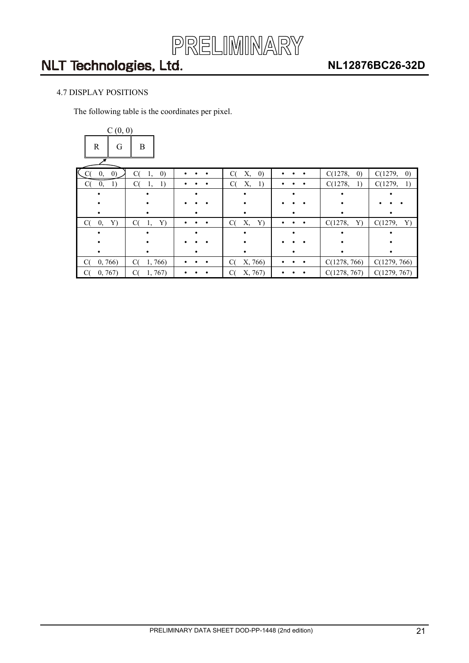

### <span id="page-20-0"></span>4.7 DISPLAY POSITIONS

The following table is the coordinates per pixel.

| C(0, 0)                 |                               |                |                               |                     |                              |                              |
|-------------------------|-------------------------------|----------------|-------------------------------|---------------------|------------------------------|------------------------------|
| $\mathbf R$<br>G        | B                             |                |                               |                     |                              |                              |
| $\left( 0\right)$<br>0, | C(<br>$\left( 0\right)$<br>1, | $\bullet$      | C(<br>Х,<br>$\left( 0\right)$ | $\bullet$           | C(1278,<br>$\left( 0\right)$ | C(1279,<br>$\left( 0\right)$ |
| C(<br>0,<br>1)          | C(<br>1)<br>1,                |                | C(<br>Х,<br>1)                | ٠                   | C(1278,<br>1)                | C(1279,<br>1)                |
|                         |                               |                |                               |                     |                              |                              |
|                         |                               |                |                               |                     |                              |                              |
|                         |                               |                |                               |                     |                              |                              |
| C(<br>0,<br>Y)          | C(<br>Y)<br>1,                | $\bullet$<br>٠ | C(<br>Х,<br>Y)                | ٠<br>$\bullet$<br>٠ | Y)<br>C(1278,                | C(1279,<br>Y)                |
|                         |                               |                |                               |                     |                              |                              |
|                         |                               |                |                               |                     |                              |                              |
|                         |                               |                |                               |                     |                              |                              |
| C(<br>0, 766            | C(<br>1,766                   | $\bullet$      | X, 766)<br>C(                 |                     | C(1278, 766)                 | C(1279, 766)                 |
| 0, 767)<br>$\alpha$     | C(<br>1, 767                  |                | C(<br>X, 767)                 |                     | C(1278, 767)                 | C(1279, 767)                 |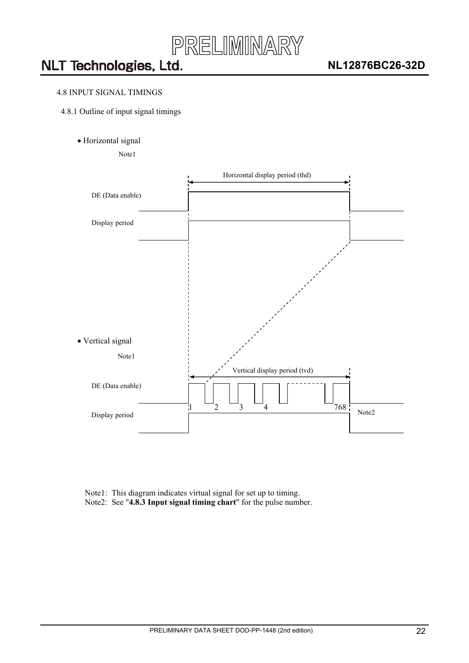

#### <span id="page-21-0"></span>4.8 INPUT SIGNAL TIMINGS

- 4.8.1 Outline of input signal timings
	- Horizontal signal

Note1



Note1: This diagram indicates virtual signal for set up to timing. Note2: See "**4.8.3 Input signal timing chart**" for the pulse number.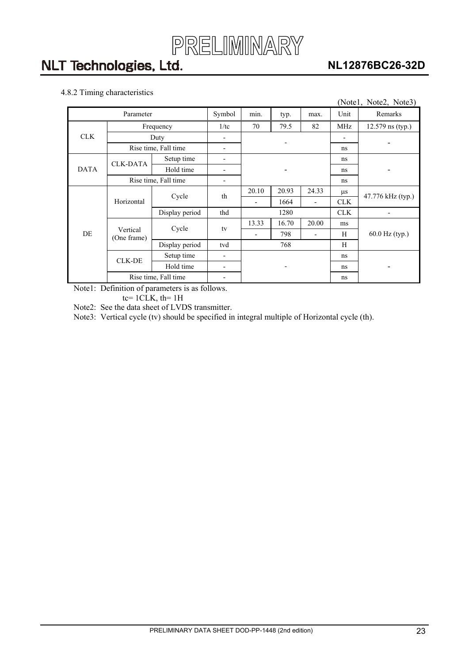

### **NL12876BC26-32D**

### <span id="page-22-0"></span>4.8.2 Timing characteristics

|             |                         |                      |                          |       |       |                          |                  | (Notel, Note2, Note3) |  |
|-------------|-------------------------|----------------------|--------------------------|-------|-------|--------------------------|------------------|-----------------------|--|
|             | Parameter               |                      | Symbol                   | min.  | typ.  | max.                     | Unit             | Remarks               |  |
|             | Frequency               | 1/tc                 | 70                       | 79.5  | 82    | MHz                      | 12.579 ns (typ.) |                       |  |
| <b>CLK</b>  |                         | Duty                 |                          |       |       |                          |                  |                       |  |
|             | Rise time, Fall time    |                      |                          |       |       | ns                       |                  |                       |  |
|             | <b>CLK-DATA</b>         | Setup time           |                          |       |       |                          | ns               |                       |  |
| <b>DATA</b> |                         | Hold time            |                          |       |       |                          |                  |                       |  |
|             |                         | Rise time, Fall time | $\overline{\phantom{0}}$ |       |       |                          | ns               |                       |  |
|             |                         | Cycle                | th                       | 20.10 | 20.93 | 24.33                    | $\mu$ s          | 47.776 kHz (typ.)     |  |
|             | Horizontal              |                      |                          | -     | 1664  | $\overline{\phantom{a}}$ | <b>CLK</b>       |                       |  |
|             |                         | Display period       | thd                      | 1280  |       | <b>CLK</b>               |                  |                       |  |
|             |                         | Cycle                | tv                       | 13.33 | 16.70 | 20.00                    | ms               |                       |  |
| DE          | Vertical<br>(One frame) |                      |                          | -     | 798   | $\overline{\phantom{a}}$ | Н                | 60.0 Hz (typ.)        |  |
|             |                         | Display period       | tvd                      | 768   |       |                          | H                |                       |  |
|             | <b>CLK-DE</b>           | Setup time           | $\overline{\phantom{0}}$ |       |       |                          | ns               |                       |  |
|             |                         | Hold time            | $\blacksquare$           |       |       |                          | ns               |                       |  |
|             |                         | Rise time, Fall time |                          |       |       |                          | ns               |                       |  |

Note1: Definition of parameters is as follows.

 $tc= 1CLK$ ,  $th= 1H$ 

Note2: See the data sheet of LVDS transmitter.

Note3: Vertical cycle (tv) should be specified in integral multiple of Horizontal cycle (th).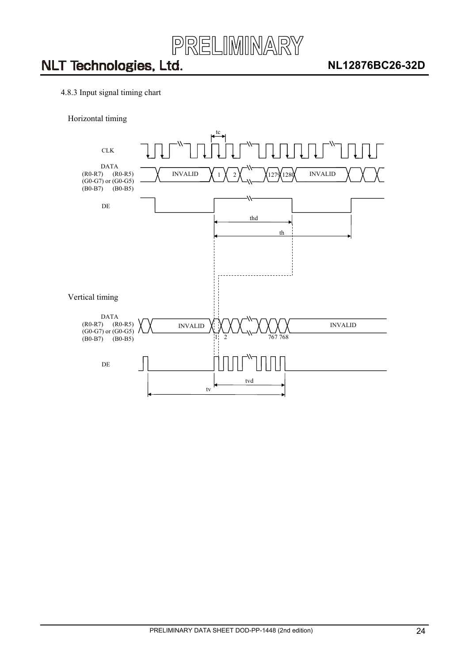

- <span id="page-23-0"></span>4.8.3 Input signal timing chart
	- Horizontal timing

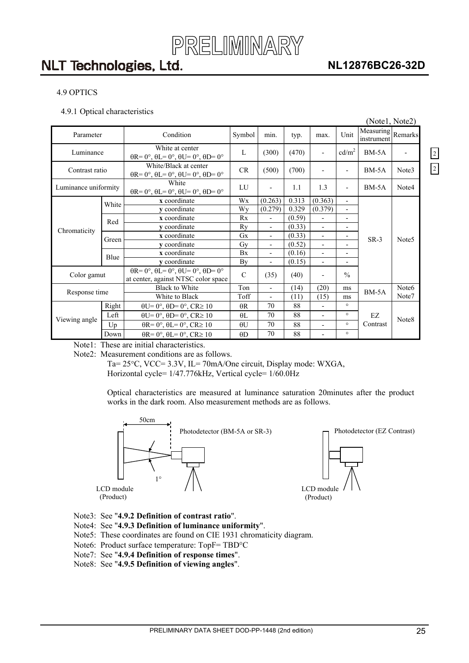

### **NL12876BC26-32D**

 $\boxed{2}$ 

2

#### <span id="page-24-0"></span>4.9 OPTICS

4.9.1 Optical characteristics

|                      |       |                                                                                                                  |               |                          |        |                          |                          | (Notel, Note2)                  |                   |
|----------------------|-------|------------------------------------------------------------------------------------------------------------------|---------------|--------------------------|--------|--------------------------|--------------------------|---------------------------------|-------------------|
| Parameter            |       | Condition                                                                                                        | Symbol        | min.                     | typ.   | max.                     | Unit                     | Measuring Remarks<br>instrument |                   |
| Luminance            |       | White at center<br>$\theta$ R= $0^\circ$ , $\theta$ L= $0^\circ$ , $\theta$ U= $0^\circ$ , $\theta$ D= $0^\circ$ | L             | (300)                    | (470)  | $\frac{1}{2}$            | cd/m <sup>2</sup>        | $BM-5A$                         |                   |
| Contrast ratio       |       | White/Black at center<br>$\theta$ R= 0°, $\theta$ L= 0°, $\theta$ U= 0°, $\theta$ D= 0°                          | CR            | (500)                    | (700)  | $\overline{\phantom{a}}$ |                          | $BM-5A$                         | Note3             |
| Luminance uniformity |       | White<br>$\theta$ R= 0°, $\theta$ L= 0°, $\theta$ U= 0°, $\theta$ D= 0°                                          | LU            | $\overline{\phantom{0}}$ | 1.1    | 1.3                      | $\overline{a}$           | $BM-5A$                         | Note4             |
|                      | White | x coordinate                                                                                                     | Wx            | (0.263)                  | 0.313  | (0.363)                  | $\overline{\phantom{0}}$ |                                 |                   |
|                      |       | v coordinate                                                                                                     | Wy            | (0.279)                  | 0.329  | (0.379)                  | $\overline{a}$           |                                 |                   |
|                      | Red   | x coordinate                                                                                                     | Rx            | $\overline{\phantom{0}}$ | (0.59) | $\blacksquare$           | -                        |                                 |                   |
| Chromaticity         |       | y coordinate                                                                                                     | Ry            | $\overline{\phantom{0}}$ | (0.33) | $\overline{\phantom{a}}$ | $\overline{a}$           |                                 |                   |
|                      | Green | x coordinate                                                                                                     | Gx            | $\overline{\phantom{0}}$ | (0.33) | $\overline{\phantom{a}}$ | $\overline{a}$           | $SR-3$                          | Note <sub>5</sub> |
|                      |       | y coordinate                                                                                                     | Gy            | $\overline{\phantom{0}}$ | (0.52) | $\overline{\phantom{a}}$ |                          |                                 |                   |
|                      | Blue  | x coordinate                                                                                                     | Bx            | $\overline{\phantom{0}}$ | (0.16) | $\overline{\phantom{a}}$ | $\overline{\phantom{0}}$ |                                 |                   |
|                      |       | v coordinate                                                                                                     | By            | $\overline{\phantom{0}}$ | (0.15) | $\overline{\phantom{a}}$ | -                        |                                 |                   |
| Color gamut          |       | $\theta$ R= 0°, $\theta$ L= 0°, $\theta$ U= 0°, $\theta$ D= 0°<br>at center, against NTSC color space            | $\mathcal{C}$ | (35)                     | (40)   | $\overline{\phantom{a}}$ | $\frac{0}{0}$            |                                 |                   |
| Response time        |       | <b>Black to White</b>                                                                                            | Ton           |                          | (14)   | (20)                     | ms                       | $BM-5A$                         | Note <sub>6</sub> |
|                      |       | White to Black                                                                                                   | Toff          |                          | (11)   | (15)                     | ms                       |                                 | Note7             |
|                      | Right | $\theta U = 0^\circ$ , $\theta D = 0^\circ$ , $CR \ge 10$                                                        | $\theta R$    | 70                       | 88     |                          | $\circ$                  |                                 |                   |
|                      | Left  | $\theta U = 0^\circ$ , $\theta D = 0^\circ$ , $CR \ge 10$                                                        | $\theta$ L    | 70                       | 88     | $\blacksquare$           | $\circ$                  | EZ                              |                   |
| Viewing angle        | Up    | $\theta$ R= 0°, $\theta$ L= 0°, CR≥ 10                                                                           | $\theta U$    | 70                       | 88     | $\overline{\phantom{a}}$ | $\circ$                  | Contrast                        | Note <sub>8</sub> |
|                      | Down  | $\theta$ R= 0°, $\theta$ L= 0°, CR≥ 10                                                                           | $\theta$ D    | 70                       | 88     | $\overline{\phantom{a}}$ | $\circ$                  |                                 |                   |

Note1: These are initial characteristics.

Note2: Measurement conditions are as follows.

Ta=  $25^{\circ}$ C, VCC=  $3.3V$ , IL=  $70$ mA/One circuit, Display mode: WXGA, Horizontal cycle= 1/47.776kHz, Vertical cycle= 1/60.0Hz

Optical characteristics are measured at luminance saturation 20minutes after the product works in the dark room. Also measurement methods are as follows.



- Note3: See "**4.9.2 Definition of contrast ratio**".
- Note4: See "**4.9.3 Definition of luminance uniformity**".
- Note5: These coordinates are found on CIE 1931 chromaticity diagram.
- Note6: Product surface temperature: TopF= TBD°C
- Note7: See "**4.9.4 Definition of response times**".
- Note8: See "**4.9.5 Definition of viewing angles**".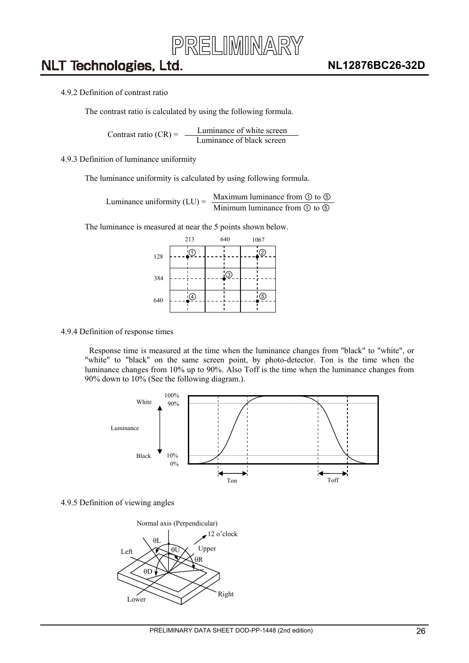

#### <span id="page-25-0"></span>4.9.2 Definition of contrast ratio

The contrast ratio is calculated by using the following formula.

Luminance of white screen Contrast ratio  $(CR) = \frac{L}{L}$  Luminance of black screen

#### 4.9.3 Definition of luminance uniformity

The luminance uniformity is calculated by using following formula.

Maximum luminance from  $\odot$  to  $\odot$ Luminance uniformity  $(LU) = \frac{Maxl (UH)}{Mini m (UH)}$  luminance from  $\odot$  to  $\odot$ 

The luminance is measured at near the 5 points shown below.

|     | 213 |   | 640 |          | 1067 |                |
|-----|-----|---|-----|----------|------|----------------|
| 128 |     |   |     |          |      | $\overline{2}$ |
| 384 |     |   |     | $\Theta$ |      |                |
| 640 |     | ④ |     |          |      | $\circledS$    |

#### 4.9.4 Definition of response times

Response time is measured at the time when the luminance changes from "black" to "white", or "white" to "black" on the same screen point, by photo-detector. Ton is the time when the luminance changes from 10% up to 90%. Also Toff is the time when the luminance changes from 90% down to 10% (See the following diagram.).



#### 4.9.5 Definition of viewing angles

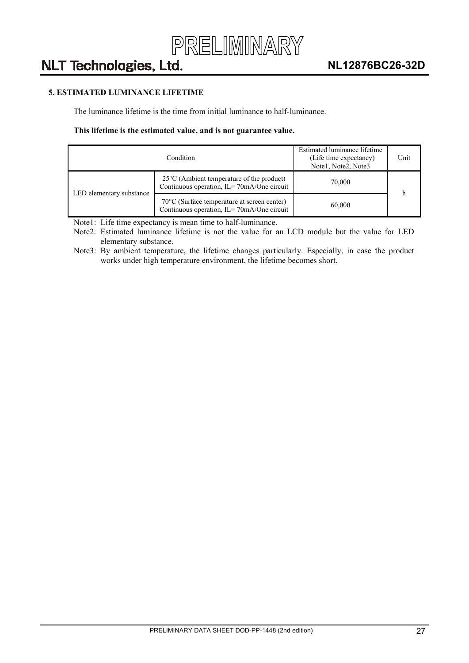

### <span id="page-26-0"></span>**5. ESTIMATED LUMINANCE LIFETIME**

The luminance lifetime is the time from initial luminance to half-luminance.

#### **This lifetime is the estimated value, and is not guarantee value.**

|                          | Estimated luminance lifetime<br>(Life time expectancy)<br>Note1, Note2, Note3                      | Unit   |  |  |
|--------------------------|----------------------------------------------------------------------------------------------------|--------|--|--|
|                          | $25^{\circ}$ C (Ambient temperature of the product)<br>Continuous operation, IL=70mA/One circuit   | 70,000 |  |  |
| LED elementary substance | $70^{\circ}$ C (Surface temperature at screen center)<br>Continuous operation, IL=70mA/One circuit | 60,000 |  |  |

Note1: Life time expectancy is mean time to half-luminance.

Note2: Estimated luminance lifetime is not the value for an LCD module but the value for LED elementary substance.

Note3: By ambient temperature, the lifetime changes particularly. Especially, in case the product works under high temperature environment, the lifetime becomes short.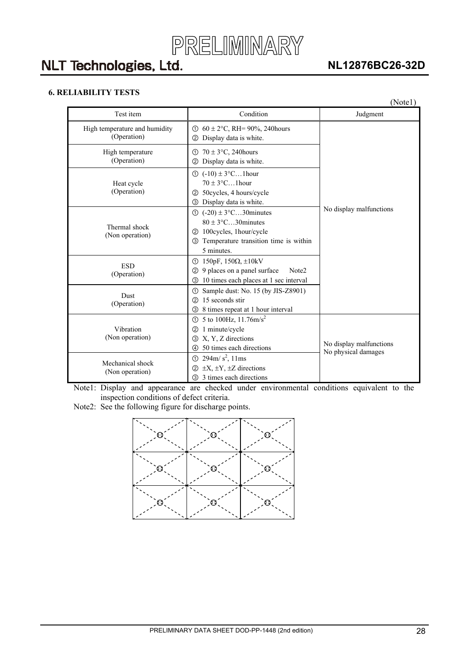

### **NL12876BC26-32D**

### <span id="page-27-0"></span>**6. RELIABILITY TESTS**

|                                              |                                                                                                                                                                     | (Notel)                                        |
|----------------------------------------------|---------------------------------------------------------------------------------------------------------------------------------------------------------------------|------------------------------------------------|
| Test item                                    | Condition                                                                                                                                                           | Judgment                                       |
| High temperature and humidity<br>(Operation) | $60 \pm 2$ °C, RH= 90%, 240 hours<br>①<br>Display data is white.<br>(2)                                                                                             |                                                |
| High temperature<br>(Operation)              | $70 \pm 3$ °C, 240 hours<br>①<br>Display data is white.<br>(2)                                                                                                      |                                                |
| Heat cycle<br>(Operation)                    | $\textcircled{1}$ (-10) $\pm 3^{\circ}$ C1 hour<br>$70 + 3$ °C. 1 hour<br>50cycles, 4 hours/cycle<br>(2)<br>Display data is white.<br>$\circledS$                   |                                                |
| Thermal shock<br>(Non operation)             | $\textcircled{1}$ (-20) ± 3°C30 minutes<br>$80 \pm 3$ °C30 minutes<br>100 cycles, 1 hour/cycle<br>(2)<br>Temperature transition time is within<br>(3)<br>5 minutes. | No display malfunctions                        |
| <b>ESD</b><br>(Operation)                    | 150pF, $150\Omega$ , $\pm 10kV$<br>①<br>9 places on a panel surface<br>Note2<br>②<br>10 times each places at 1 sec interval<br>3                                    |                                                |
| Dust<br>(Operation)                          | Sample dust: No. 15 (by JIS-Z8901)<br>①<br>15 seconds stir<br>$\circled{2}$<br>8 times repeat at 1 hour interval<br>3                                               |                                                |
| Vibration<br>(Non operation)                 | 5 to 100Hz, 11.76m/s <sup>2</sup><br>$\bigcirc$<br>1 minute/cycle<br>$\circled{2}$<br>X, Y, Z directions<br>3<br>50 times each directions<br>4                      | No display malfunctions<br>No physical damages |
| Mechanical shock<br>(Non operation)          | $294 \text{m/s}^2$ , 11ms<br>①<br>$\pm X$ , $\pm Y$ , $\pm Z$ directions<br>$\circled{2}$<br>3 times each directions<br>3                                           |                                                |

Note1: Display and appearance are checked under environmental conditions equivalent to the inspection conditions of defect criteria.

Note2: See the following figure for discharge points.

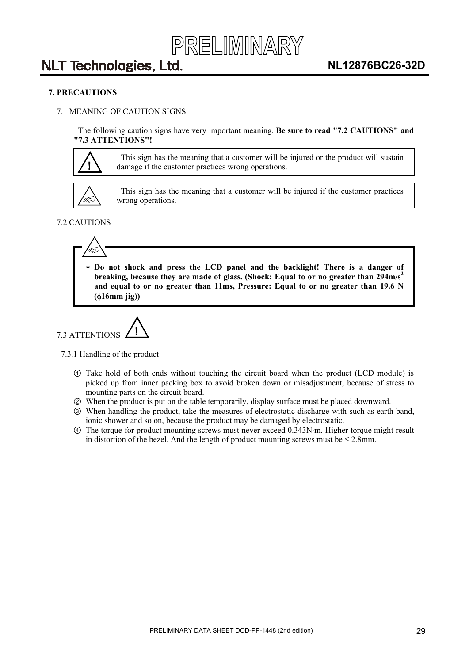

#### <span id="page-28-0"></span>**7. PRECAUTIONS**

#### 7.1 MEANING OF CAUTION SIGNS

The following caution signs have very important meaning. **Be sure to read "7.2 CAUTIONS" and "7.3 ATTENTIONS"!** 



This sign has the meaning that a customer will be injured or the product will sustain damage if the customer practices wrong operations.



This sign has the meaning that a customer will be injured if the customer practices wrong operations.

#### 7.2 CAUTIONS



  **Do not shock and press the LCD panel and the backlight! There is a danger of**  breaking, because they are made of glass. (Shock: Equal to or no greater than 294m/s<sup>2</sup> **and equal to or no greater than 11ms, Pressure: Equal to or no greater than 19.6 N (**I**16mm jig))** 



7.3.1 Handling of the product

- Take hold of both ends without touching the circuit board when the product (LCD module) is picked up from inner packing box to avoid broken down or misadjustment, because of stress to mounting parts on the circuit board.
- ཱ When the product is put on the table temporarily, display surface must be placed downward.
- ི When handling the product, take the measures of electrostatic discharge with such as earth band, ionic shower and so on, because the product may be damaged by electrostatic.
- ཱི The torque for product mounting screws must never exceed 0.343Nm. Higher torque might result in distortion of the bezel. And the length of product mounting screws must be  $\leq 2.8$ mm.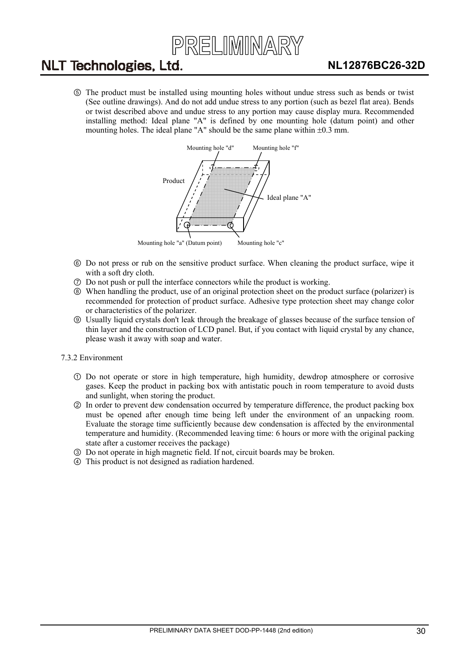

<span id="page-29-0"></span>ུ The product must be installed using mounting holes without undue stress such as bends or twist (See outline drawings). And do not add undue stress to any portion (such as bezel flat area). Bends or twist described above and undue stress to any portion may cause display mura. Recommended installing method: Ideal plane "A" is defined by one mounting hole (datum point) and other mounting holes. The ideal plane "A" should be the same plane within  $\pm 0.3$  mm.



- ཱུ Do not press or rub on the sensitive product surface. When cleaning the product surface, wipe it with a soft dry cloth.
- ྲྀ Do not push or pull the interface connectors while the product is working.
- ཷ When handling the product, use of an original protection sheet on the product surface (polarizer) is recommended for protection of product surface. Adhesive type protection sheet may change color or characteristics of the polarizer.
- ླྀ Usually liquid crystals don't leak through the breakage of glasses because of the surface tension of thin layer and the construction of LCD panel. But, if you contact with liquid crystal by any chance, please wash it away with soap and water.

#### 7.3.2 Environment

- Do not operate or store in high temperature, high humidity, dewdrop atmosphere or corrosive gases. Keep the product in packing box with antistatic pouch in room temperature to avoid dusts and sunlight, when storing the product.
- ཱ In order to prevent dew condensation occurred by temperature difference, the product packing box must be opened after enough time being left under the environment of an unpacking room. Evaluate the storage time sufficiently because dew condensation is affected by the environmental temperature and humidity. (Recommended leaving time: 6 hours or more with the original packing state after a customer receives the package)
- ི Do not operate in high magnetic field. If not, circuit boards may be broken.
- ཱི This product is not designed as radiation hardened.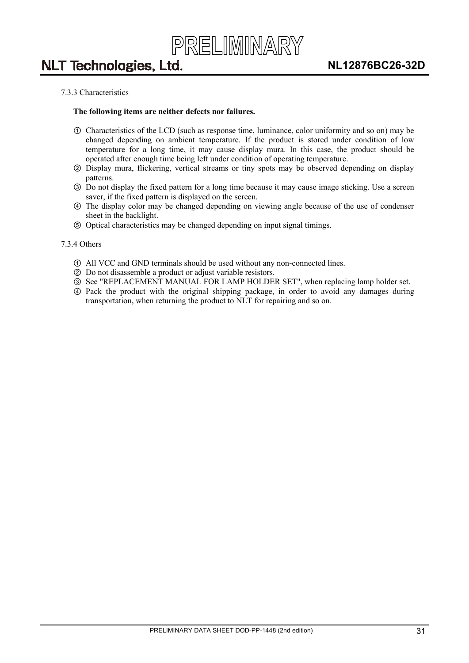#### <span id="page-30-0"></span>7.3.3 Characteristics

#### **The following items are neither defects nor failures.**

- Characteristics of the LCD (such as response time, luminance, color uniformity and so on) may be changed depending on ambient temperature. If the product is stored under condition of low temperature for a long time, it may cause display mura. In this case, the product should be operated after enough time being left under condition of operating temperature.
- ཱ Display mura, flickering, vertical streams or tiny spots may be observed depending on display patterns.
- ི Do not display the fixed pattern for a long time because it may cause image sticking. Use a screen saver, if the fixed pattern is displayed on the screen.
- ཱི The display color may be changed depending on viewing angle because of the use of condenser sheet in the backlight.
- ུ Optical characteristics may be changed depending on input signal timings.

#### 7.3.4 Others

- All VCC and GND terminals should be used without any non-connected lines.
- ཱ Do not disassemble a product or adjust variable resistors.
- ི See "REPLACEMENT MANUAL FOR LAMP HOLDER SET", when replacing lamp holder set.
- ཱི Pack the product with the original shipping package, in order to avoid any damages during transportation, when returning the product to NLT for repairing and so on.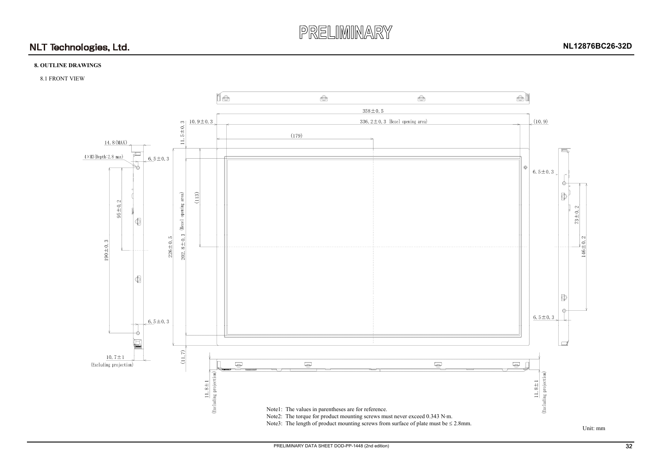

### **8. OUTLINE DRAWINGS**

#### 8.1 FRONT VIEW

Unit: mm

<span id="page-31-0"></span>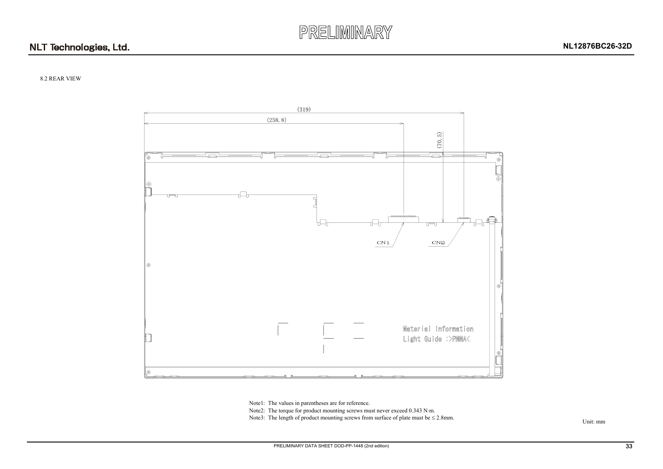



#### 8.2 REAR VIEW



Unit: mm

Note1: The values in parentheses are for reference.

Note2: The torque for product mounting screws must never exceed 0.343 N·m.

<span id="page-32-0"></span>Note3: The length of product mounting screws from surface of plate must be  $\leq$  2.8mm.